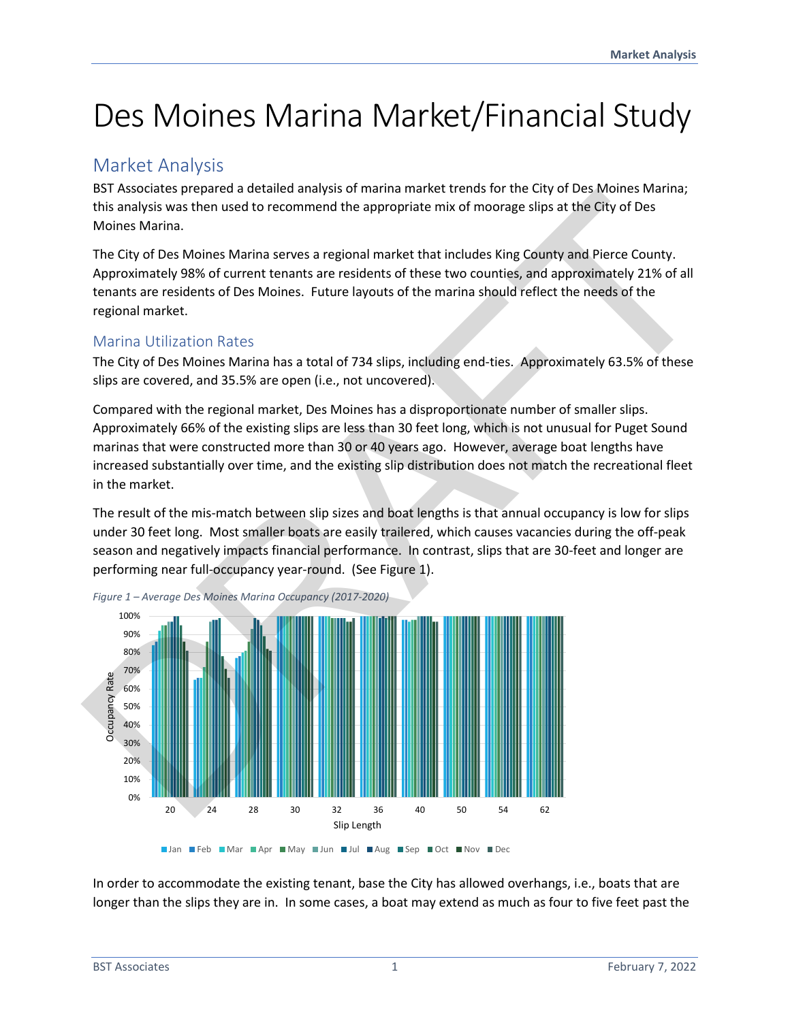# Des Moines Marina Market/Financial Study

## Market Analysis

BST Associates prepared a detailed analysis of marina market trends for the City of Des Moines Marina; this analysis was then used to recommend the appropriate mix of moorage slips at the City of Des Moines Marina.

The City of Des Moines Marina serves a regional market that includes King County and Pierce County. Approximately 98% of current tenants are residents of these two counties, and approximately 21% of all tenants are residents of Des Moines. Future layouts of the marina should reflect the needs of the regional market.

## Marina Utilization Rates

The City of Des Moines Marina has a total of 734 slips, including end-ties. Approximately 63.5% of these slips are covered, and 35.5% are open (i.e., not uncovered).

Compared with the regional market, Des Moines has a disproportionate number of smaller slips. Approximately 66% of the existing slips are less than 30 feet long, which is not unusual for Puget Sound marinas that were constructed more than 30 or 40 years ago. However, average boat lengths have increased substantially over time, and the existing slip distribution does not match the recreational fleet in the market.

The result of the mis-match between slip sizes and boat lengths is that annual occupancy is low for slips under 30 feet long. Most smaller boats are easily trailered, which causes vacancies during the off-peak season and negatively impacts financial performance. In contrast, slips that are 30-feet and longer are performing near full-occupancy year-round. (See Figure 1).



*Figure 1 – Average Des Moines Marina Occupancy (2017-2020)* 

In order to accommodate the existing tenant, base the City has allowed overhangs, i.e., boats that are longer than the slips they are in. In some cases, a boat may extend as much as four to five feet past the

Jan Feb Mar Apr May Jun Jul Aug Sep Oct Nov Dec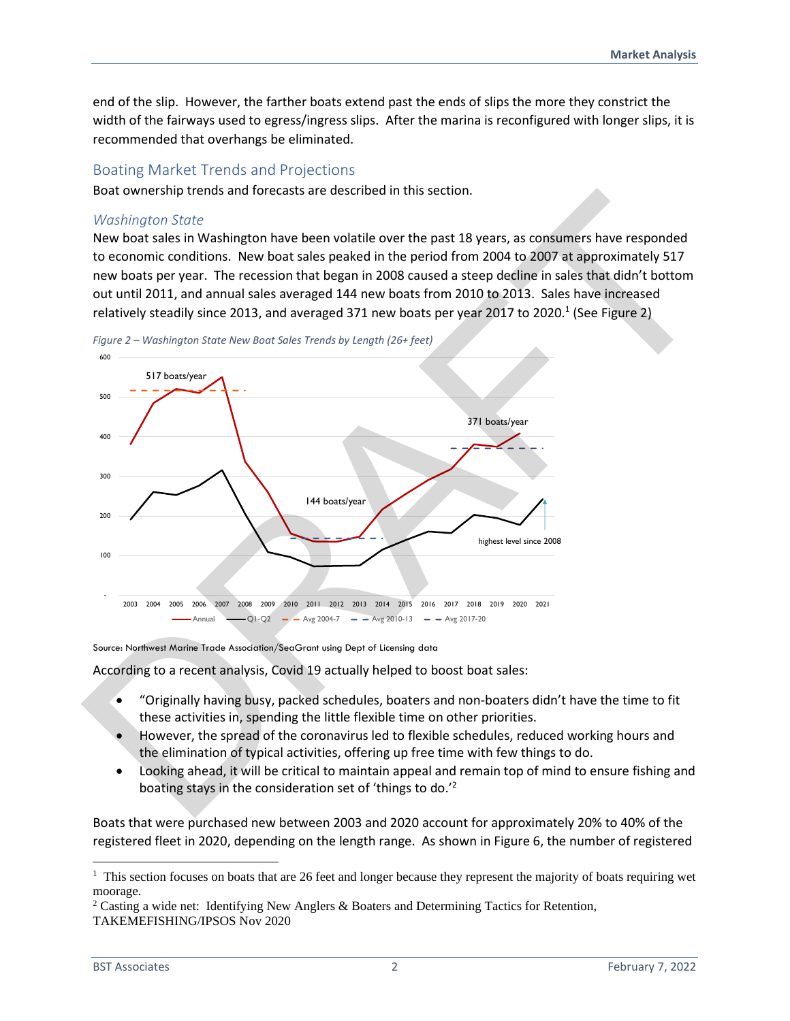end of the slip. However, the farther boats extend past the ends of slips the more they constrict the width of the fairways used to egress/ingress slips. After the marina is reconfigured with longer slips, it is recommended that overhangs be eliminated.

#### Boating Market Trends and Projections

Boat ownership trends and forecasts are described in this section.

#### *Washington State*

New boat sales in Washington have been volatile over the past 18 years, as consumers have responded to economic conditions. New boat sales peaked in the period from 2004 to 2007 at approximately 517 new boats per year. The recession that began in 2008 caused a steep decline in sales that didn't bottom out until 2011, and annual sales averaged 144 new boats from 2010 to 2013. Sales have increased relatively steadily since 2013, and averaged 371 new boats per year 2017 to 2020.<sup>1</sup> (See Figure 2)



*Figure 2 – Washington State New Boat Sales Trends by Length (26+ feet)* 

Source: Northwest Marine Trade Association/SeaGrant using Dept of Licensing data

According to a recent analysis, Covid 19 actually helped to boost boat sales:

- "Originally having busy, packed schedules, boaters and non-boaters didn't have the time to fit these activities in, spending the little flexible time on other priorities.
- However, the spread of the coronavirus led to flexible schedules, reduced working hours and the elimination of typical activities, offering up free time with few things to do.
- Looking ahead, it will be critical to maintain appeal and remain top of mind to ensure fishing and boating stays in the consideration set of 'things to do.<sup>'2</sup>

Boats that were purchased new between 2003 and 2020 account for approximately 20% to 40% of the registered fleet in 2020, depending on the length range. As shown in Figure 6, the number of registered

<sup>&</sup>lt;sup>1</sup> This section focuses on boats that are 26 feet and longer because they represent the majority of boats requiring wet moorage.

<sup>&</sup>lt;sup>2</sup> Casting a wide net: Identifying New Anglers & Boaters and Determining Tactics for Retention, TAKEMEFISHING/IPSOS Nov 2020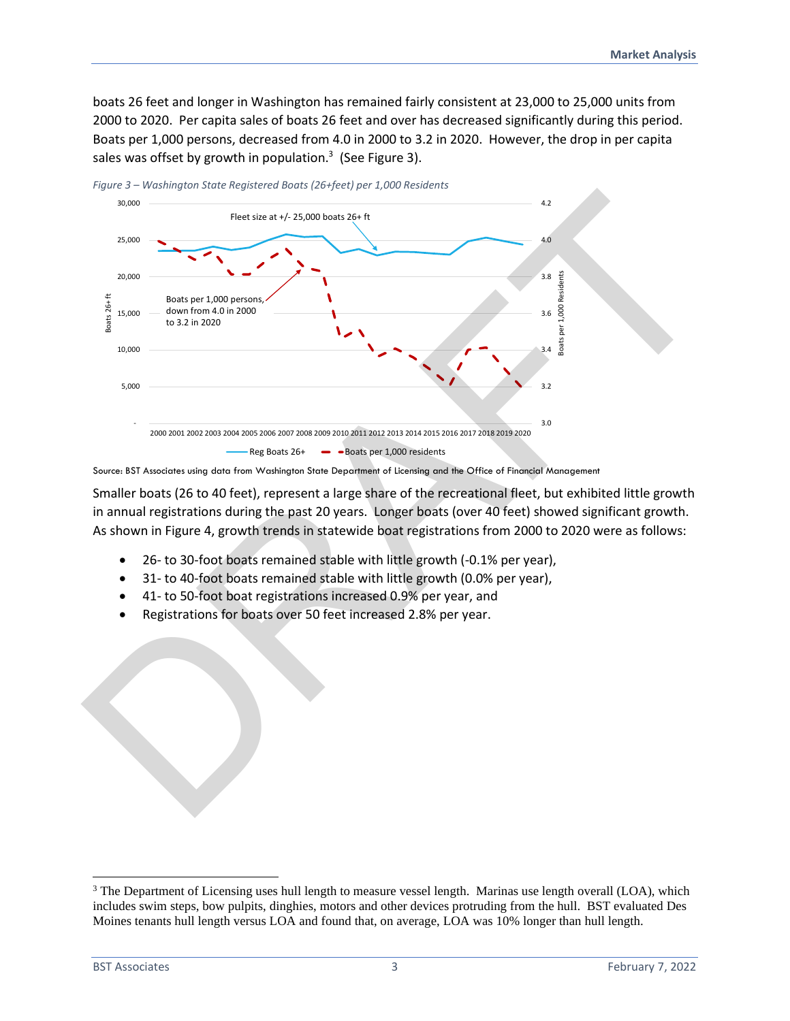boats 26 feet and longer in Washington has remained fairly consistent at 23,000 to 25,000 units from 2000 to 2020. Per capita sales of boats 26 feet and over has decreased significantly during this period. Boats per 1,000 persons, decreased from 4.0 in 2000 to 3.2 in 2020. However, the drop in per capita sales was offset by growth in population.<sup>3</sup> (See Figure 3).



*Figure 3 – Washington State Registered Boats (26+feet) per 1,000 Residents* 

Smaller boats (26 to 40 feet), represent a large share of the recreational fleet, but exhibited little growth in annual registrations during the past 20 years. Longer boats (over 40 feet) showed significant growth. As shown in Figure 4, growth trends in statewide boat registrations from 2000 to 2020 were as follows:

- 26- to 30-foot boats remained stable with little growth (-0.1% per year),
- 31- to 40-foot boats remained stable with little growth (0.0% per year),
- 41- to 50-foot boat registrations increased 0.9% per year, and
- Registrations for boats over 50 feet increased 2.8% per year.

Source: BST Associates using data from Washington State Department of Licensing and the Office of Financial Management

<sup>&</sup>lt;sup>3</sup> The Department of Licensing uses hull length to measure vessel length. Marinas use length overall (LOA), which includes swim steps, bow pulpits, dinghies, motors and other devices protruding from the hull. BST evaluated Des Moines tenants hull length versus LOA and found that, on average, LOA was 10% longer than hull length.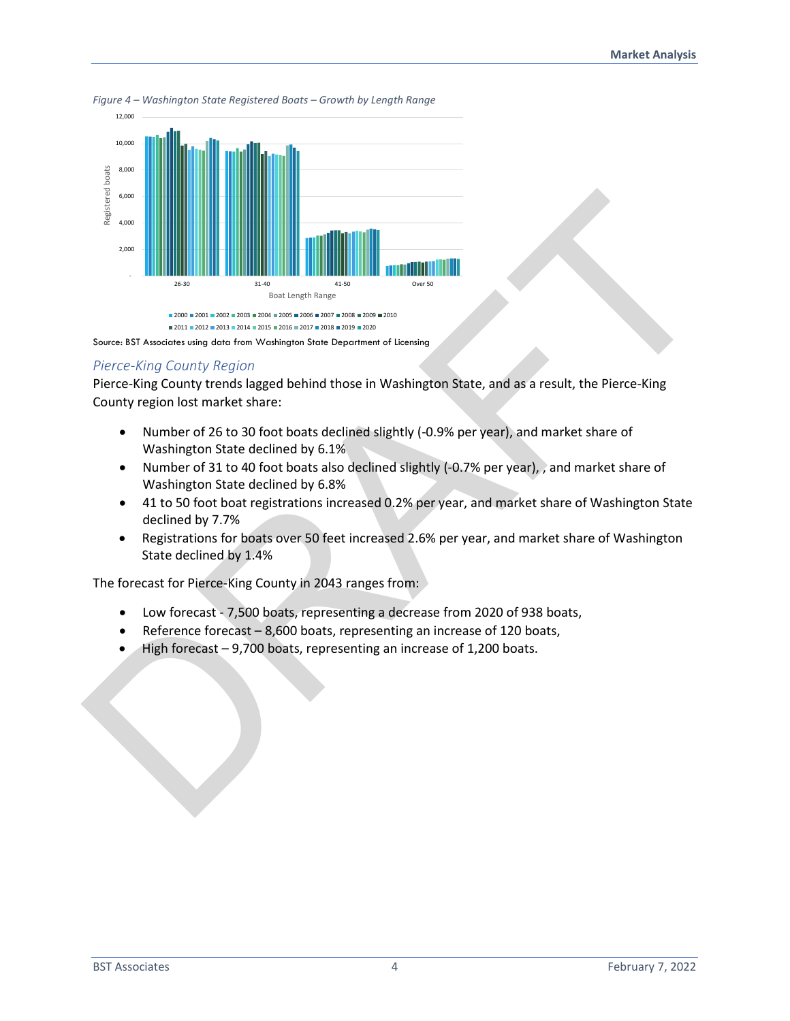

*Figure 4 – Washington State Registered Boats – Growth by Length Range* 



#### *Pierce-King County Region*

Pierce-King County trends lagged behind those in Washington State, and as a result, the Pierce-King County region lost market share:

- Number of 26 to 30 foot boats declined slightly (-0.9% per year), and market share of Washington State declined by 6.1%
- Number of 31 to 40 foot boats also declined slightly (-0.7% per year), , and market share of Washington State declined by 6.8%
- 41 to 50 foot boat registrations increased 0.2% per year, and market share of Washington State declined by 7.7%
- Registrations for boats over 50 feet increased 2.6% per year, and market share of Washington State declined by 1.4%

The forecast for Pierce-King County in 2043 ranges from:

- Low forecast 7,500 boats, representing a decrease from 2020 of 938 boats,
- Reference forecast 8,600 boats, representing an increase of 120 boats,
- High forecast 9,700 boats, representing an increase of 1,200 boats.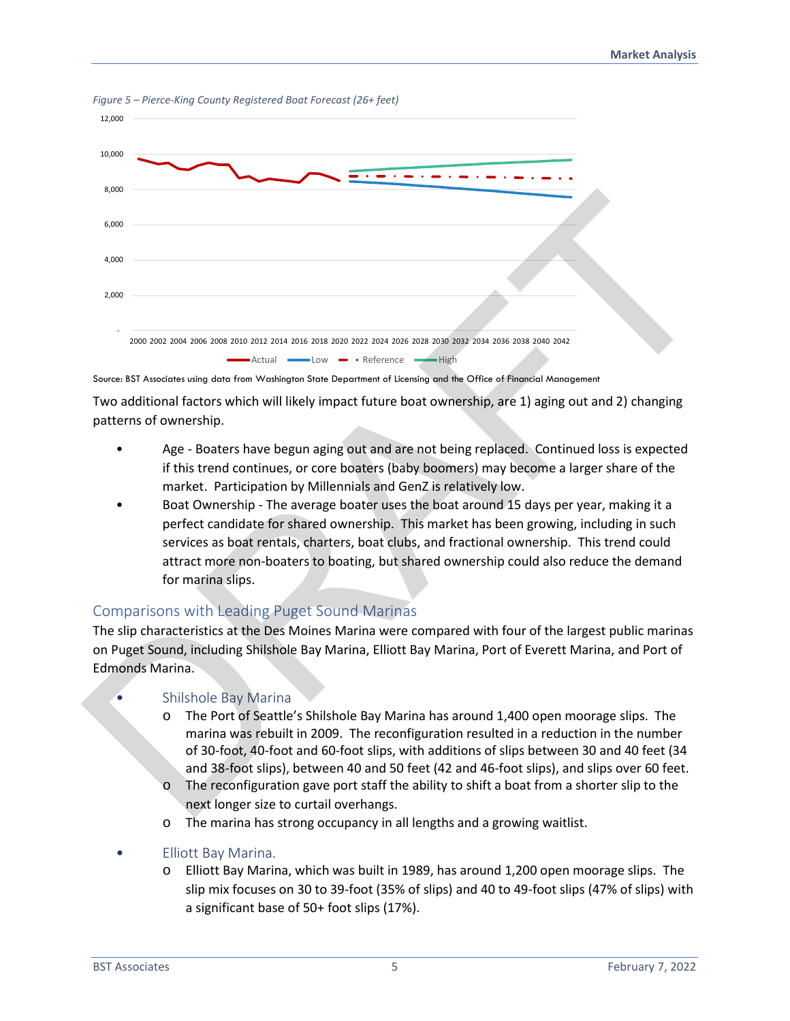

*Figure 5 – Pierce-King County Registered Boat Forecast (26+ feet)* 

Source: BST Associates using data from Washington State Department of Licensing and the Office of Financial Management

Two additional factors which will likely impact future boat ownership, are 1) aging out and 2) changing patterns of ownership.

- Age Boaters have begun aging out and are not being replaced. Continued loss is expected if this trend continues, or core boaters (baby boomers) may become a larger share of the market. Participation by Millennials and GenZ is relatively low.
- Boat Ownership The average boater uses the boat around 15 days per year, making it a perfect candidate for shared ownership. This market has been growing, including in such services as boat rentals, charters, boat clubs, and fractional ownership. This trend could attract more non-boaters to boating, but shared ownership could also reduce the demand for marina slips.

## Comparisons with Leading Puget Sound Marinas

The slip characteristics at the Des Moines Marina were compared with four of the largest public marinas on Puget Sound, including Shilshole Bay Marina, Elliott Bay Marina, Port of Everett Marina, and Port of Edmonds Marina.

## • Shilshole Bay Marina

- o The Port of Seattle's Shilshole Bay Marina has around 1,400 open moorage slips. The marina was rebuilt in 2009. The reconfiguration resulted in a reduction in the number of 30-foot, 40-foot and 60-foot slips, with additions of slips between 30 and 40 feet (34 and 38-foot slips), between 40 and 50 feet (42 and 46-foot slips), and slips over 60 feet.
- o The reconfiguration gave port staff the ability to shift a boat from a shorter slip to the next longer size to curtail overhangs.
- o The marina has strong occupancy in all lengths and a growing waitlist.
- Elliott Bay Marina.
	- o Elliott Bay Marina, which was built in 1989, has around 1,200 open moorage slips. The slip mix focuses on 30 to 39-foot (35% of slips) and 40 to 49-foot slips (47% of slips) with a significant base of 50+ foot slips (17%).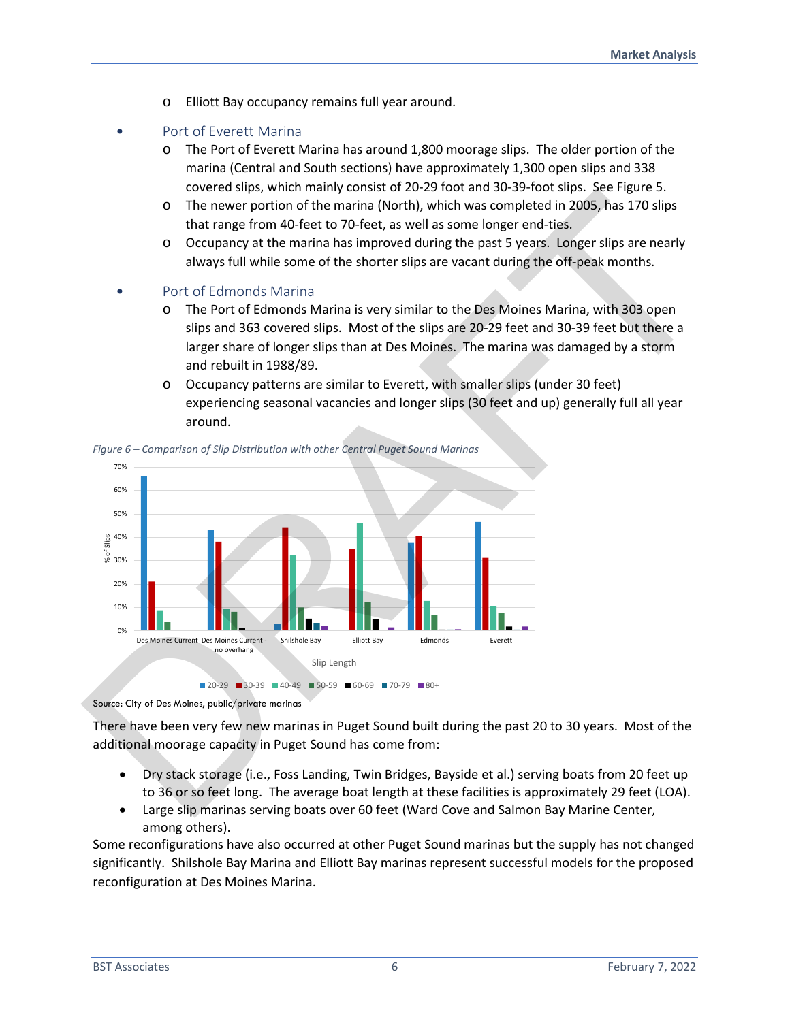- o Elliott Bay occupancy remains full year around.
- Port of Everett Marina
	- o The Port of Everett Marina has around 1,800 moorage slips. The older portion of the marina (Central and South sections) have approximately 1,300 open slips and 338 covered slips, which mainly consist of 20-29 foot and 30-39-foot slips. See Figure 5.
	- o The newer portion of the marina (North), which was completed in 2005, has 170 slips that range from 40-feet to 70-feet, as well as some longer end-ties.
	- $\circ$  Occupancy at the marina has improved during the past 5 years. Longer slips are nearly always full while some of the shorter slips are vacant during the off-peak months.
- Port of Edmonds Marina
	- o The Port of Edmonds Marina is very similar to the Des Moines Marina, with 303 open slips and 363 covered slips. Most of the slips are 20-29 feet and 30-39 feet but there a larger share of longer slips than at Des Moines. The marina was damaged by a storm and rebuilt in 1988/89.
	- o Occupancy patterns are similar to Everett, with smaller slips (under 30 feet) experiencing seasonal vacancies and longer slips (30 feet and up) generally full all year around.



*Figure 6 – Comparison of Slip Distribution with other Central Puget Sound Marinas* 

There have been very few new marinas in Puget Sound built during the past 20 to 30 years. Most of the additional moorage capacity in Puget Sound has come from:

- Dry stack storage (i.e., Foss Landing, Twin Bridges, Bayside et al.) serving boats from 20 feet up to 36 or so feet long. The average boat length at these facilities is approximately 29 feet (LOA).
- Large slip marinas serving boats over 60 feet (Ward Cove and Salmon Bay Marine Center, among others).

Some reconfigurations have also occurred at other Puget Sound marinas but the supply has not changed significantly. Shilshole Bay Marina and Elliott Bay marinas represent successful models for the proposed reconfiguration at Des Moines Marina.

Source: City of Des Moines, public/private marinas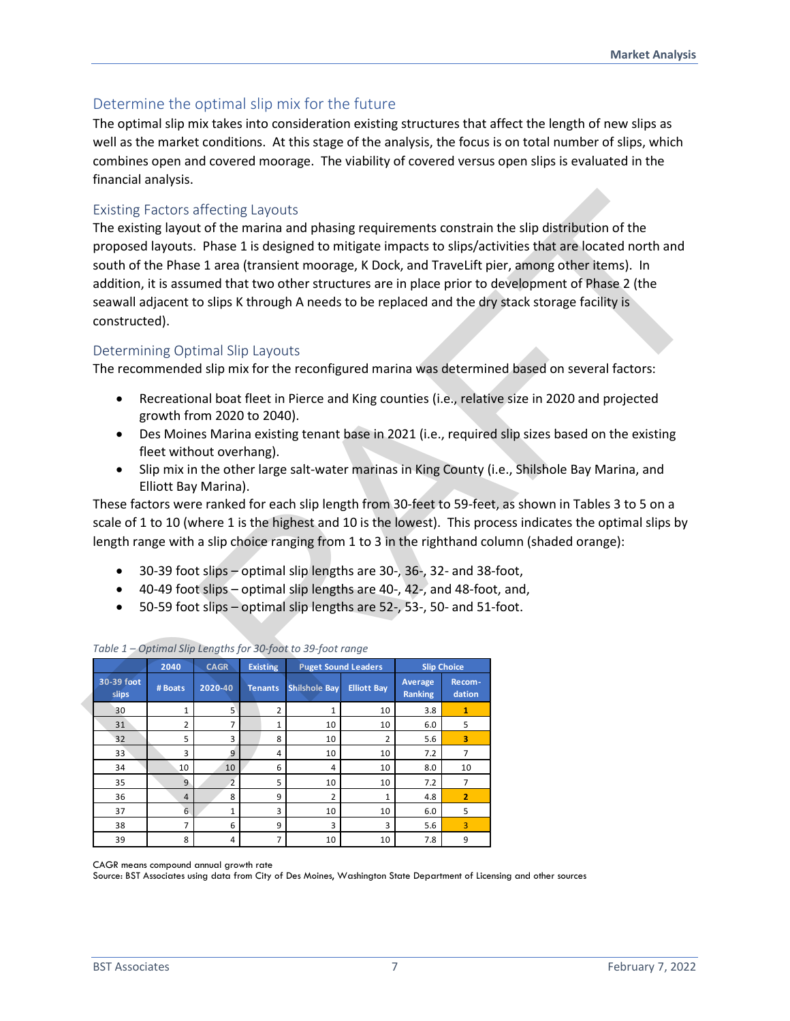## Determine the optimal slip mix for the future

The optimal slip mix takes into consideration existing structures that affect the length of new slips as well as the market conditions. At this stage of the analysis, the focus is on total number of slips, which combines open and covered moorage. The viability of covered versus open slips is evaluated in the financial analysis.

#### Existing Factors affecting Layouts

#### Determining Optimal Slip Layouts

- Recreational boat fleet in Pierce and King counties (i.e., relative size in 2020 and projected growth from 2020 to 2040).
- Des Moines Marina existing tenant base in 2021 (i.e., required slip sizes based on the existing fleet without overhang).
- Slip mix in the other large salt-water marinas in King County (i.e., Shilshole Bay Marina, and Elliott Bay Marina).

- 30-39 foot slips optimal slip lengths are 30-, 36-, 32- and 38-foot,
- 40-49 foot slips optimal slip lengths are 40-, 42-, and 48-foot, and,
- 50-59 foot slips optimal slip lengths are 52-, 53-, 50- and 51-foot.

| <b>Existing Factors affecting Layouts</b><br>constructed).                 |                                                  |                        |                                   |                                                                                                                                                                                                                             |                                                  |                           |                                        | The existing layout of the marina and phasing requirements constrain the slip distribution of the<br>proposed layouts. Phase 1 is designed to mitigate impacts to slips/activities that are located north and<br>south of the Phase 1 area (transient moorage, K Dock, and TraveLift pier, among other items). In<br>addition, it is assumed that two other structures are in place prior to development of Phase 2 (the<br>seawall adjacent to slips K through A needs to be replaced and the dry stack storage facility is                                                                                                 |
|----------------------------------------------------------------------------|--------------------------------------------------|------------------------|-----------------------------------|-----------------------------------------------------------------------------------------------------------------------------------------------------------------------------------------------------------------------------|--------------------------------------------------|---------------------------|----------------------------------------|------------------------------------------------------------------------------------------------------------------------------------------------------------------------------------------------------------------------------------------------------------------------------------------------------------------------------------------------------------------------------------------------------------------------------------------------------------------------------------------------------------------------------------------------------------------------------------------------------------------------------|
| Determining Optimal Slip Layouts                                           |                                                  |                        |                                   |                                                                                                                                                                                                                             |                                                  |                           |                                        | The recommended slip mix for the reconfigured marina was determined based on several factors:                                                                                                                                                                                                                                                                                                                                                                                                                                                                                                                                |
| $\bullet$<br>$\bullet$<br>$\bullet$<br>$\bullet$<br>$\bullet$<br>$\bullet$ | fleet without overhang).<br>Elliott Bay Marina). |                        | growth from 2020 to 2040).        | 30-39 foot slips - optimal slip lengths are 30-, 36-, 32- and 38-foot,<br>40-49 foot slips - optimal slip lengths are 40-, 42-, and 48-foot, and,<br>50-59 foot slips - optimal slip lengths are 52-, 53-, 50- and 51-foot. |                                                  |                           |                                        | Recreational boat fleet in Pierce and King counties (i.e., relative size in 2020 and projected<br>Des Moines Marina existing tenant base in 2021 (i.e., required slip sizes based on the existing<br>Slip mix in the other large salt-water marinas in King County (i.e., Shilshole Bay Marina, and<br>These factors were ranked for each slip length from 30-feet to 59-feet, as shown in Tables 3 to 5 on a<br>scale of 1 to 10 (where 1 is the highest and 10 is the lowest). This process indicates the optimal slips by<br>length range with a slip choice ranging from 1 to 3 in the righthand column (shaded orange): |
|                                                                            |                                                  |                        |                                   | Table 1 - Optimal Slip Lengths for 30-foot to 39-foot range                                                                                                                                                                 |                                                  |                           |                                        |                                                                                                                                                                                                                                                                                                                                                                                                                                                                                                                                                                                                                              |
| 30-39 foot<br>slips                                                        | 2040<br># Boats                                  | <b>CAGR</b><br>2020-40 | <b>Existing</b><br><b>Tenants</b> | <b>Shilshole Bay</b>                                                                                                                                                                                                        | <b>Puget Sound Leaders</b><br><b>Elliott Bay</b> | <b>Average</b><br>Ranking | <b>Slip Choice</b><br>Recom-<br>dation |                                                                                                                                                                                                                                                                                                                                                                                                                                                                                                                                                                                                                              |
| 30                                                                         | $\mathbf{1}$                                     | 5 <sup>1</sup>         | $\overline{2}$                    | $\mathbf{1}$                                                                                                                                                                                                                | 10                                               | 3.8                       | $\mathbf{1}$                           |                                                                                                                                                                                                                                                                                                                                                                                                                                                                                                                                                                                                                              |
| 31                                                                         | $\overline{2}$                                   | $\overline{7}$         | $\mathbf 1$                       | 10                                                                                                                                                                                                                          | 10                                               | 6.0                       | 5                                      |                                                                                                                                                                                                                                                                                                                                                                                                                                                                                                                                                                                                                              |
| 32                                                                         | 5                                                | 3                      | 8                                 | 10                                                                                                                                                                                                                          | $\overline{2}$                                   | 5.6                       | 3                                      |                                                                                                                                                                                                                                                                                                                                                                                                                                                                                                                                                                                                                              |
| 33                                                                         | 3                                                | $\mathsf{g}$           | 4                                 | 10                                                                                                                                                                                                                          | 10                                               | 7.2                       | $\overline{7}$                         |                                                                                                                                                                                                                                                                                                                                                                                                                                                                                                                                                                                                                              |
| 34                                                                         | 10                                               | 10                     | 6                                 | $\overline{4}$                                                                                                                                                                                                              | 10                                               | 8.0                       | 10                                     |                                                                                                                                                                                                                                                                                                                                                                                                                                                                                                                                                                                                                              |
| 35<br>36                                                                   | 9<br>$\sqrt{4}$                                  | $\overline{2}$<br>8    | 5<br>9                            | 10<br>$\overline{2}$                                                                                                                                                                                                        | 10<br>$\mathbf{1}$                               | 7.2<br>4.8                | 7<br>$\overline{2}$                    |                                                                                                                                                                                                                                                                                                                                                                                                                                                                                                                                                                                                                              |
| 37                                                                         | $6\overline{6}$                                  | $\mathbf{1}$           | 3                                 | 10                                                                                                                                                                                                                          | 10                                               | 6.0                       | 5                                      |                                                                                                                                                                                                                                                                                                                                                                                                                                                                                                                                                                                                                              |
| 38                                                                         | $\overline{7}$                                   | 6                      | 9                                 | 3                                                                                                                                                                                                                           | 3                                                | 5.6                       | 3                                      |                                                                                                                                                                                                                                                                                                                                                                                                                                                                                                                                                                                                                              |
| 39                                                                         | 8                                                | 4                      | $\overline{7}$                    | 10                                                                                                                                                                                                                          | 10                                               | 7.8                       | 9                                      |                                                                                                                                                                                                                                                                                                                                                                                                                                                                                                                                                                                                                              |

|  |  |  |  | Table 1 – Optimal Slip Lengths for 30-foot to 39-foot range |
|--|--|--|--|-------------------------------------------------------------|
|--|--|--|--|-------------------------------------------------------------|

CAGR means compound annual growth rate

Source: BST Associates using data from City of Des Moines, Washington State Department of Licensing and other sources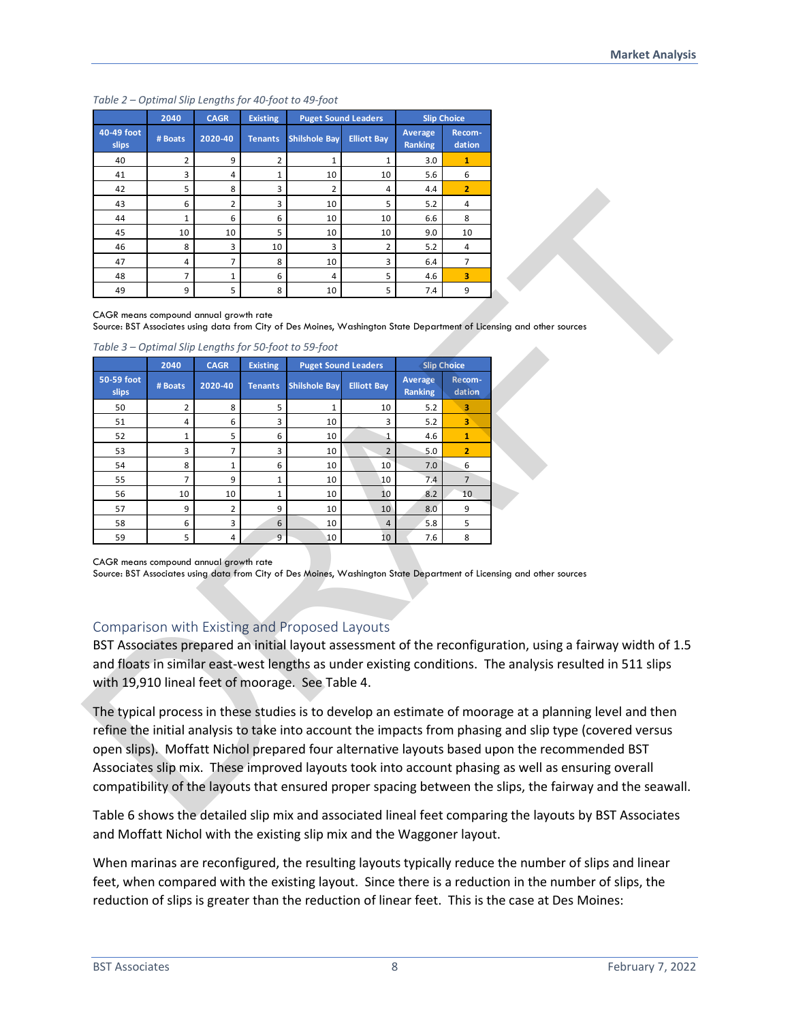#### *Table 2 – Optimal Slip Lengths for 40-foot to 49-foot*

|                            | 2040    | <b>CAGR</b>    | <b>Existing</b> | <b>Puget Sound Leaders</b> |                    |                           | <b>Slip Choice</b> |
|----------------------------|---------|----------------|-----------------|----------------------------|--------------------|---------------------------|--------------------|
| 40-49 foot<br><b>slips</b> | # Boats | 2020-40        | <b>Tenants</b>  | <b>Shilshole Bay</b>       | <b>Elliott Bay</b> | Average<br><b>Ranking</b> | Recom-<br>dation   |
| 40                         | 2       | 9              | $\overline{2}$  | 1                          | 1                  | 3.0                       | 1                  |
| 41                         | 3       | 4              | $\mathbf{1}$    | 10                         | 10                 | 5.6                       | 6                  |
| 42                         | 5       | 8              | 3               | $\overline{2}$             | 4                  | 4.4                       | $\overline{2}$     |
| 43                         | 6       | $\overline{2}$ | 3               | 10                         | 5                  | 5.2                       | 4                  |
| 44                         | 1       | 6              | 6               | 10                         | 10                 | 6.6                       | 8                  |
| 45                         | 10      | 10             | 5               | 10                         | 10                 | 9.0                       | 10                 |
| 46                         | 8       | 3              | 10              | 3                          | 2                  | 5.2                       | 4                  |
| 47                         | 4       | 7              | 8               | 10                         | 3                  | 6.4                       | 7                  |
| 48                         | 7       | $\mathbf{1}$   | 6               | 4                          | 5                  | 4.6                       | 3                  |
| 49                         | 9       | 5              | 8               | 10                         | 5                  | 7.4                       | 9                  |

#### Comparison with Existing and Proposed Layouts

Table 6 shows the detailed slip mix and associated lineal feet comparing the layouts by BST Associates and Moffatt Nichol with the existing slip mix and the Waggoner layout.

When marinas are reconfigured, the resulting layouts typically reduce the number of slips and linear feet, when compared with the existing layout. Since there is a reduction in the number of slips, the reduction of slips is greater than the reduction of linear feet. This is the case at Des Moines: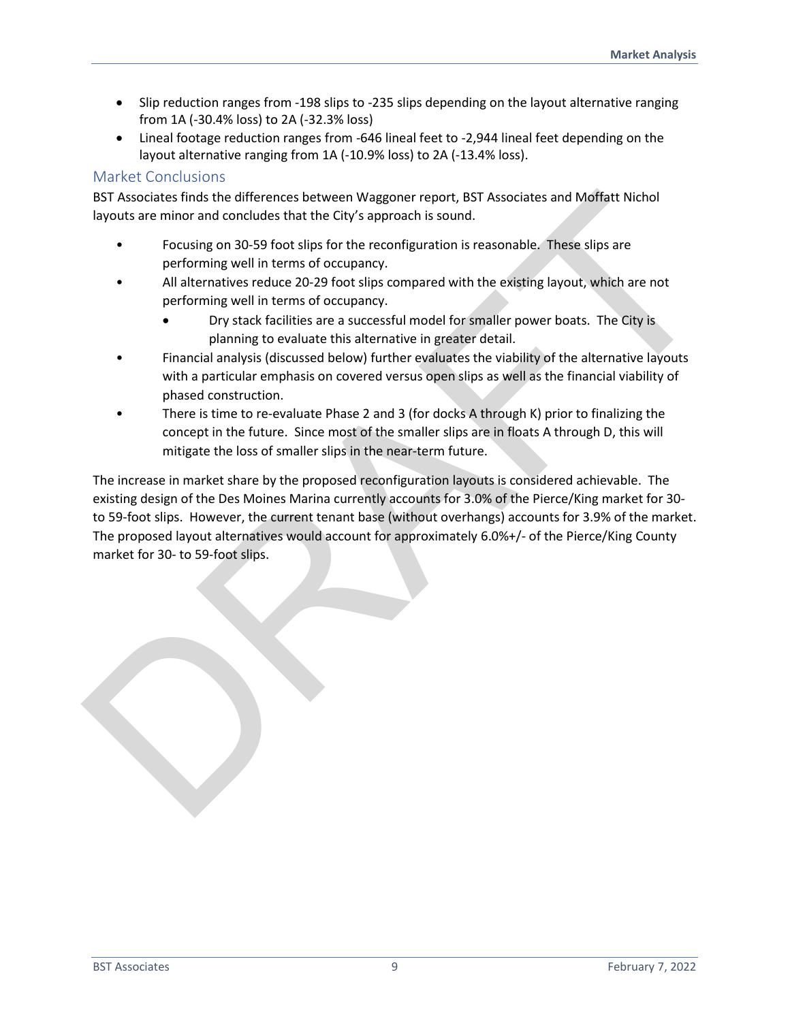- Slip reduction ranges from -198 slips to -235 slips depending on the layout alternative ranging from 1A (-30.4% loss) to 2A (-32.3% loss)
- Lineal footage reduction ranges from -646 lineal feet to -2,944 lineal feet depending on the layout alternative ranging from 1A (-10.9% loss) to 2A (-13.4% loss).

## Market Conclusions

BST Associates finds the differences between Waggoner report, BST Associates and Moffatt Nichol layouts are minor and concludes that the City's approach is sound.

- Focusing on 30-59 foot slips for the reconfiguration is reasonable. These slips are performing well in terms of occupancy.
- All alternatives reduce 20-29 foot slips compared with the existing layout, which are not performing well in terms of occupancy.
	- Dry stack facilities are a successful model for smaller power boats. The City is planning to evaluate this alternative in greater detail.
- Financial analysis (discussed below) further evaluates the viability of the alternative layouts with a particular emphasis on covered versus open slips as well as the financial viability of phased construction.
- There is time to re-evaluate Phase 2 and 3 (for docks A through K) prior to finalizing the concept in the future. Since most of the smaller slips are in floats A through D, this will mitigate the loss of smaller slips in the near-term future.

The increase in market share by the proposed reconfiguration layouts is considered achievable. The existing design of the Des Moines Marina currently accounts for 3.0% of the Pierce/King market for 30 to 59-foot slips. However, the current tenant base (without overhangs) accounts for 3.9% of the market. The proposed layout alternatives would account for approximately 6.0%+/- of the Pierce/King County market for 30- to 59-foot slips. BST Associates finds the differences between Waggoner report, BST Associates and Molffatt Nichol<br>syouts en minor and concludes that the City's approach is sound be. These slips are<br>proforming well in terms of occupancy.<br>Al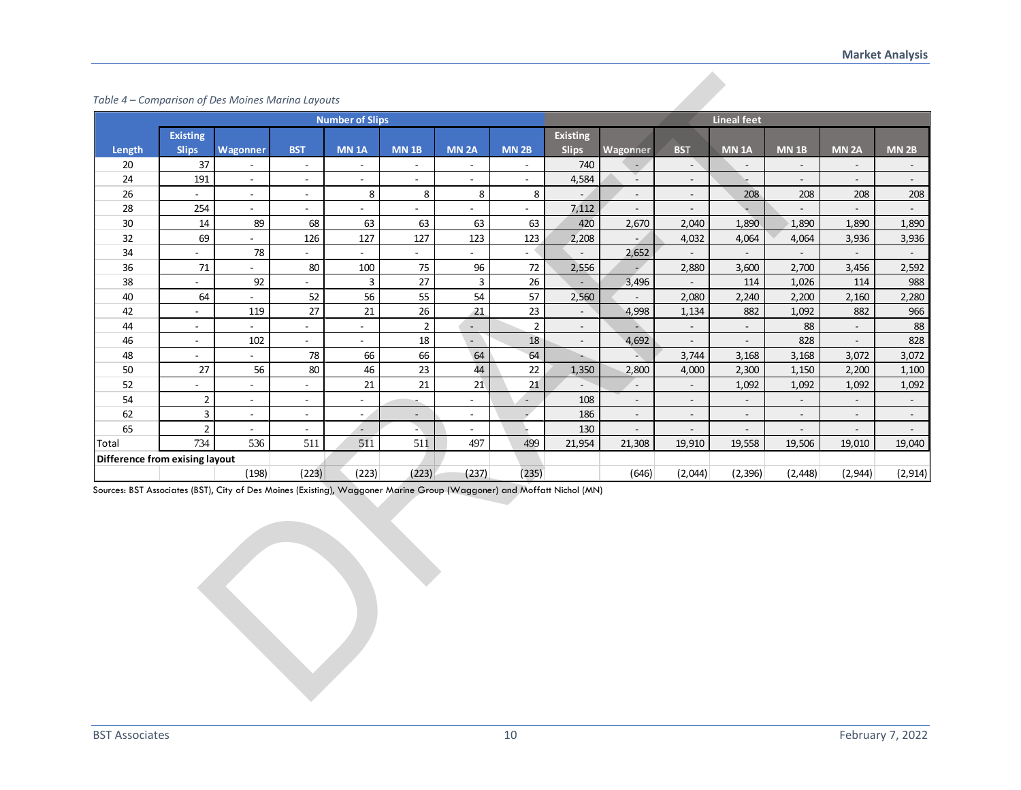#### *Table 4 – Comparison of Des Moines Marina Layouts*

| Table 4 - Comparison of Des Moines Marina Layouts                                                                      |                                 |                           |                          |                          |                             |                             |                           |                                 |                          |                          |                          |                             |                          |                  |
|------------------------------------------------------------------------------------------------------------------------|---------------------------------|---------------------------|--------------------------|--------------------------|-----------------------------|-----------------------------|---------------------------|---------------------------------|--------------------------|--------------------------|--------------------------|-----------------------------|--------------------------|------------------|
|                                                                                                                        |                                 |                           |                          | <b>Number of Slips</b>   |                             |                             |                           |                                 |                          |                          | <b>Lineal feet</b>       |                             |                          |                  |
| Length                                                                                                                 | <b>Existing</b><br><b>Slips</b> | Wagonner                  | <b>BST</b>               | <b>MN 1A</b>             | <b>MN 1B</b>                | MN <sub>2A</sub>            | <b>MN 2B</b>              | <b>Existing</b><br><b>Slips</b> | Wagonner                 | <b>BST</b>               | <b>MN 1A</b>             | <b>MN 1B</b>                | <b>MN 2A</b>             | MN <sub>2B</sub> |
| 20                                                                                                                     | 37                              | $\blacksquare$            | $\overline{\phantom{a}}$ | $\overline{\phantom{a}}$ | $\overline{\phantom{a}}$    | $\sim$                      | $\overline{\phantom{a}}$  | 740                             | $\blacksquare$           | $\overline{\phantom{a}}$ | $\overline{\phantom{a}}$ | $\overline{\phantom{a}}$    | $\blacksquare$           |                  |
| 24                                                                                                                     | 191                             | $\sim$                    | $\sim$                   | $\overline{\phantom{a}}$ | $\sim$                      | $\sim$                      | $\mathbb{Z}^{\mathbb{Z}}$ | 4,584                           | ¥.                       | $\overline{\phantom{a}}$ | u.                       | $\mathbb{L}^+$              | $\mathbb{Z}^{\times}$    | $\omega$         |
| 26                                                                                                                     | $\omega_{\rm c}$                | $\sim$                    | $\omega$                 | 8                        | 8                           | 8                           | 8                         | $\sim$                          | $\mathbb{L}$             | $\blacksquare$           | 208                      | 208                         | 208                      | 208              |
| 28                                                                                                                     | 254                             | $\sim$                    | $\sim$                   | $\overline{a}$           | $\sim$                      | $\sim$                      | $\blacksquare$            | 7,112                           | $\overline{\phantom{a}}$ | $\blacksquare$           | ÷                        | $\overline{\phantom{a}}$    | $\sim$                   | $\sim$           |
| 30                                                                                                                     | 14                              | 89                        | 68                       | 63                       | 63                          | 63                          | 63                        | 420                             | 2,670                    | 2,040                    | 1,890                    | 1,890                       | 1,890                    | 1,890            |
| 32                                                                                                                     | 69                              | $\sim$                    | 126                      | 127                      | 127                         | 123                         | 123                       | 2,208                           | $\blacksquare$           | 4,032                    | 4,064                    | 4,064                       | 3,936                    | 3,936            |
| 34                                                                                                                     | $\overline{\phantom{a}}$        | 78                        | $\blacksquare$           | $\overline{\phantom{a}}$ | $\mathcal{L}_{\mathcal{A}}$ | $\sim$                      | $\sim$                    | $\overline{\phantom{a}}$        | 2,652                    | $\overline{\phantom{a}}$ | $\sim$                   | $\mathcal{L}_{\mathcal{A}}$ | $\overline{\phantom{a}}$ |                  |
| 36                                                                                                                     | 71                              | $\sim$                    | 80                       | 100                      | 75                          | 96                          | $72\,$                    | 2,556                           |                          | 2,880                    | 3,600                    | 2,700                       | 3,456                    | 2,592            |
| 38                                                                                                                     |                                 | 92                        | $\blacksquare$           | 3                        | 27                          | 3                           | 26                        |                                 | 3,496                    |                          | 114                      | 1,026                       | 114                      | 988              |
| 40                                                                                                                     | 64                              | $\mathbb{Z}^{\mathbb{Z}}$ | 52                       | 56                       | 55                          | 54                          | 57                        | 2,560                           |                          | 2,080                    | 2,240                    | 2,200                       | 2,160                    | 2,280            |
| 42                                                                                                                     | $\overline{\phantom{a}}$        | 119                       | 27                       | 21                       | 26                          | 21                          | 23                        | $\blacksquare$                  | 4,998                    | 1,134                    | 882                      | 1,092                       | 882                      | 966              |
| 44                                                                                                                     | $\overline{\phantom{a}}$        | $\blacksquare$            | $\sim$                   | $\overline{\phantom{0}}$ | $\overline{2}$              | $\mathcal{L}_{\mathcal{A}}$ | $\mathbf 2$               | $\blacksquare$                  | ⇒                        | $\blacksquare$           | $\overline{\phantom{a}}$ | 88                          | $\sim$                   | 88               |
| 46                                                                                                                     | $\overline{\phantom{a}}$        | 102                       | $\overline{\phantom{a}}$ |                          | $18\,$                      | $\sim$                      | 18                        | $\overline{\phantom{a}}$        | 4,692                    | $\blacksquare$           | $\overline{\phantom{a}}$ | 828                         | $\blacksquare$           | 828              |
| 48                                                                                                                     | $\blacksquare$                  | $\mathbb{Z}^{\mathbb{Z}}$ | 78                       | 66                       | 66                          | 64                          | 64                        | u,                              | A                        | 3,744                    | 3,168                    | 3,168                       | 3,072                    | 3,072            |
| 50                                                                                                                     | 27                              | 56                        | 80                       | 46                       | 23                          | 44                          | 22                        | 1,350                           | 2,800                    | 4,000                    | 2,300                    | 1,150                       | 2,200                    | 1,100            |
| 52                                                                                                                     | $\overline{\phantom{a}}$        | $\sim$                    | $\sim$                   | 21                       | 21                          | 21                          | 21                        | $\sim$                          | $\sim$                   | $\overline{\phantom{a}}$ | 1,092                    | 1,092                       | 1,092                    | 1,092            |
| 54                                                                                                                     | $\overline{2}$                  | $\blacksquare$            | $\overline{\phantom{a}}$ | $\overline{\phantom{a}}$ |                             | $\overline{\phantom{a}}$    | $\overline{\phantom{a}}$  | 108                             | $\overline{\phantom{a}}$ | $\overline{\phantom{a}}$ | $\overline{\phantom{a}}$ | $\overline{\phantom{a}}$    | $\overline{\phantom{a}}$ | $\blacksquare$   |
| 62                                                                                                                     | 3                               | $\sim$                    | $\sim$                   | $\sim$ .                 | $\sim$                      | $\sim$                      | $\omega^{\prime}$         | 186                             | $\overline{\phantom{a}}$ | $\overline{\phantom{a}}$ | $\sim$                   | $\overline{\phantom{a}}$    | $\sim$                   | $\sim$           |
| 65                                                                                                                     | $\overline{2}$                  | $\sim$                    | $\blacksquare$           | ÷.                       | A.                          | $\blacksquare$              |                           | 130                             | $\overline{\phantom{a}}$ | $\overline{\phantom{a}}$ | $\overline{\phantom{a}}$ | $\overline{\phantom{a}}$    | $\blacksquare$           | $\blacksquare$   |
| Total                                                                                                                  | 734                             | 536                       | 511                      | 511                      | 511                         | 497                         | 499                       | 21,954                          | 21,308                   | 19,910                   | 19,558                   | 19,506                      | 19,010                   | 19,040           |
| Difference from exising layout                                                                                         |                                 |                           |                          |                          |                             |                             |                           |                                 |                          |                          |                          |                             |                          |                  |
|                                                                                                                        |                                 | (198)                     | (223)                    | (223)                    | (223)                       | (237)                       | (235)                     |                                 | (646)                    | (2,044)                  | (2, 396)                 | (2, 448)                    | (2,944)                  | (2, 914)         |
| Sources: BST Associates (BST), City of Des Moines (Existing), Waggoner Marine Group (Waggoner) and Moffatt Nichol (MN) |                                 |                           |                          |                          |                             |                             |                           |                                 |                          |                          |                          |                             |                          |                  |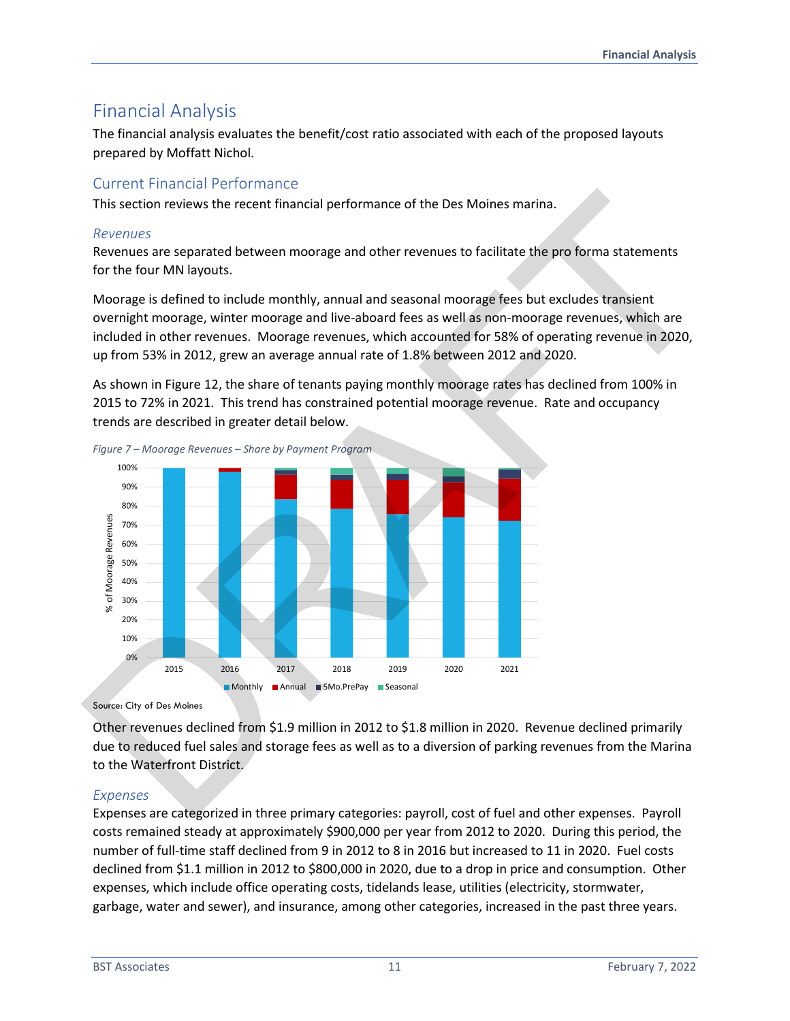# Financial Analysis

The financial analysis evaluates the benefit/cost ratio associated with each of the proposed layouts prepared by Moffatt Nichol.

## Current Financial Performance

This section reviews the recent financial performance of the Des Moines marina.

#### *Revenues*

Revenues are separated between moorage and other revenues to facilitate the pro forma statements for the four MN layouts.

Moorage is defined to include monthly, annual and seasonal moorage fees but excludes transient overnight moorage, winter moorage and live-aboard fees as well as non-moorage revenues, which are included in other revenues. Moorage revenues, which accounted for 58% of operating revenue in 2020, up from 53% in 2012, grew an average annual rate of 1.8% between 2012 and 2020.

As shown in Figure 12, the share of tenants paying monthly moorage rates has declined from 100% in 2015 to 72% in 2021. This trend has constrained potential moorage revenue. Rate and occupancy trends are described in greater detail below.



Source: City of Des Moines

Other revenues declined from \$1.9 million in 2012 to \$1.8 million in 2020. Revenue declined primarily due to reduced fuel sales and storage fees as well as to a diversion of parking revenues from the Marina to the Waterfront District.

## *Expenses*

Expenses are categorized in three primary categories: payroll, cost of fuel and other expenses. Payroll costs remained steady at approximately \$900,000 per year from 2012 to 2020. During this period, the number of full-time staff declined from 9 in 2012 to 8 in 2016 but increased to 11 in 2020. Fuel costs declined from \$1.1 million in 2012 to \$800,000 in 2020, due to a drop in price and consumption. Other expenses, which include office operating costs, tidelands lease, utilities (electricity, stormwater, garbage, water and sewer), and insurance, among other categories, increased in the past three years.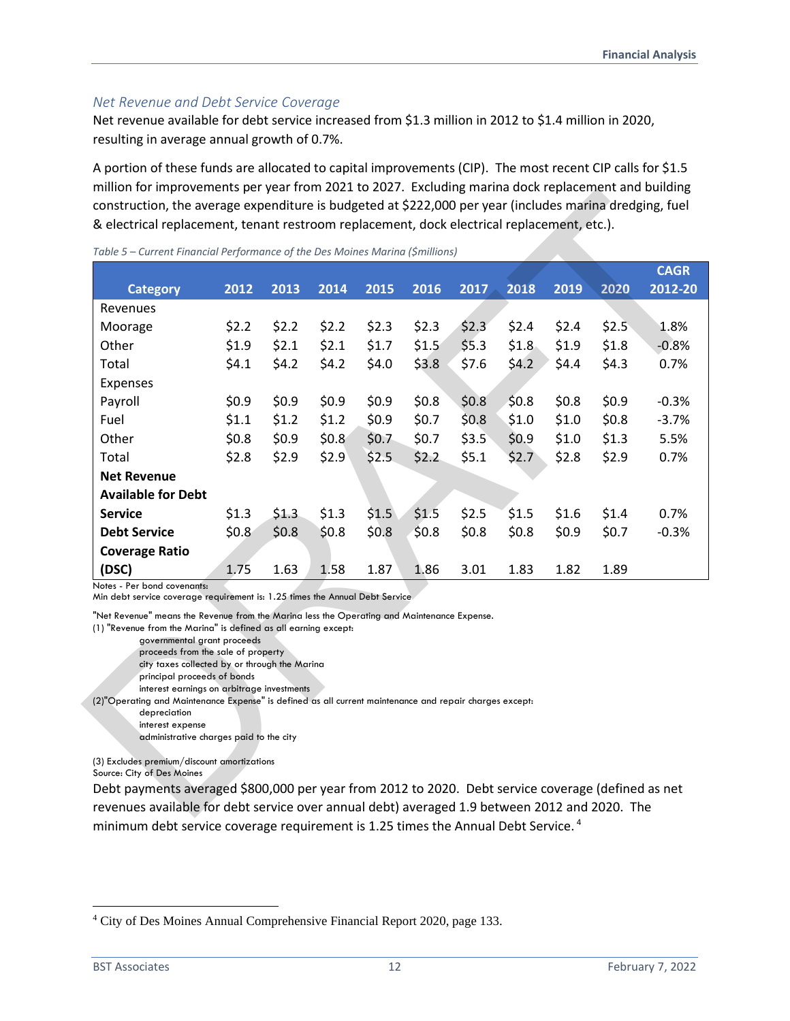#### *Net Revenue and Debt Service Coverage*

Net revenue available for debt service increased from \$1.3 million in 2012 to \$1.4 million in 2020, resulting in average annual growth of 0.7%.

A portion of these funds are allocated to capital improvements (CIP). The most recent CIP calls for \$1.5 million for improvements per year from 2021 to 2027. Excluding marina dock replacement and building construction, the average expenditure is budgeted at \$222,000 per year (includes marina dredging, fuel & electrical replacement, tenant restroom replacement, dock electrical replacement, etc.).

|                                                                              |         | Table 5 - Current Financial Performance of the Des Moines Marina (\$millions) |         |                                                                                             |       |         |         |       |       | <b>CAGR</b> |
|------------------------------------------------------------------------------|---------|-------------------------------------------------------------------------------|---------|---------------------------------------------------------------------------------------------|-------|---------|---------|-------|-------|-------------|
| <b>Category</b>                                                              | 2012    | 2013                                                                          | 2014    | 2015                                                                                        | 2016  | 2017    | 2018    | 2019  | 2020  | 2012-20     |
| Revenues                                                                     |         |                                                                               |         |                                                                                             |       |         |         |       |       |             |
| Moorage                                                                      | \$2.2   | \$2.2                                                                         | \$2.2   | \$2.3                                                                                       | \$2.3 | \$2.3   | \$2.4   | \$2.4 | \$2.5 | 1.8%        |
| Other                                                                        | \$1.9   | \$2.1                                                                         | \$2.1   | \$1.7                                                                                       | \$1.5 | \$5.3   | \$1.8   | \$1.9 | \$1.8 | $-0.8%$     |
| Total                                                                        | \$4.1   | \$4.2\$                                                                       | \$4.2   | \$4.0                                                                                       | \$3.8 | \$7.6   | \$4.2\$ | \$4.4 | \$4.3 | 0.7%        |
| Expenses                                                                     |         |                                                                               |         |                                                                                             |       |         |         |       |       |             |
| Payroll                                                                      | \$0.9   | \$0.9                                                                         | \$0.9   | \$0.9                                                                                       | \$0.8 | \$0.8\$ | \$0.8   | \$0.8 | \$0.9 | $-0.3%$     |
| Fuel                                                                         | \$1.1   | \$1.2                                                                         | \$1.2\$ | \$0.9                                                                                       | \$0.7 | \$0.8\$ | \$1.0   | \$1.0 | \$0.8 | $-3.7%$     |
| Other                                                                        | \$0.8\$ | \$0.9                                                                         | \$0.8\$ | \$0.7                                                                                       | \$0.7 | \$3.5   | \$0.9   | \$1.0 | \$1.3 | 5.5%        |
| Total                                                                        | \$2.8   | \$2.9                                                                         | \$2.9   | \$2.5                                                                                       | \$2.2 | \$5.1   | \$2.7   | \$2.8 | \$2.9 | 0.7%        |
| <b>Net Revenue</b>                                                           |         |                                                                               |         |                                                                                             |       |         |         |       |       |             |
| <b>Available for Debt</b>                                                    |         |                                                                               |         |                                                                                             |       |         |         |       |       |             |
| <b>Service</b>                                                               | \$1.3   | \$1.3                                                                         | \$1.3   | \$1.5                                                                                       | \$1.5 | \$2.5   | \$1.5   | \$1.6 | \$1.4 | 0.7%        |
| <b>Debt Service</b>                                                          | \$0.8   | \$0.8\$                                                                       | \$0.8   | \$0.8\$                                                                                     | \$0.8 | \$0.8\$ | \$0.8   | \$0.9 | \$0.7 | $-0.3%$     |
| <b>Coverage Ratio</b>                                                        |         |                                                                               |         |                                                                                             |       |         |         |       |       |             |
| (DSC)                                                                        | 1.75    | 1.63                                                                          | 1.58    | 1.87                                                                                        | 1.86  | 3.01    | 1.83    | 1.82  | 1.89  |             |
| Notes - Per bond covenants:                                                  |         |                                                                               |         |                                                                                             |       |         |         |       |       |             |
| Min debt service coverage requirement is: 1.25 times the Annual Debt Service |         |                                                                               |         | "Net Revenue" means the Revenue from the Marina less the Operating and Maintenance Expense. |       |         |         |       |       |             |

Debt payments averaged \$800,000 per year from 2012 to 2020. Debt service coverage (defined as net revenues available for debt service over annual debt) averaged 1.9 between 2012 and 2020. The minimum debt service coverage requirement is 1.25 times the Annual Debt Service.<sup>4</sup>

<sup>4</sup> City of Des Moines Annual Comprehensive Financial Report 2020, page 133.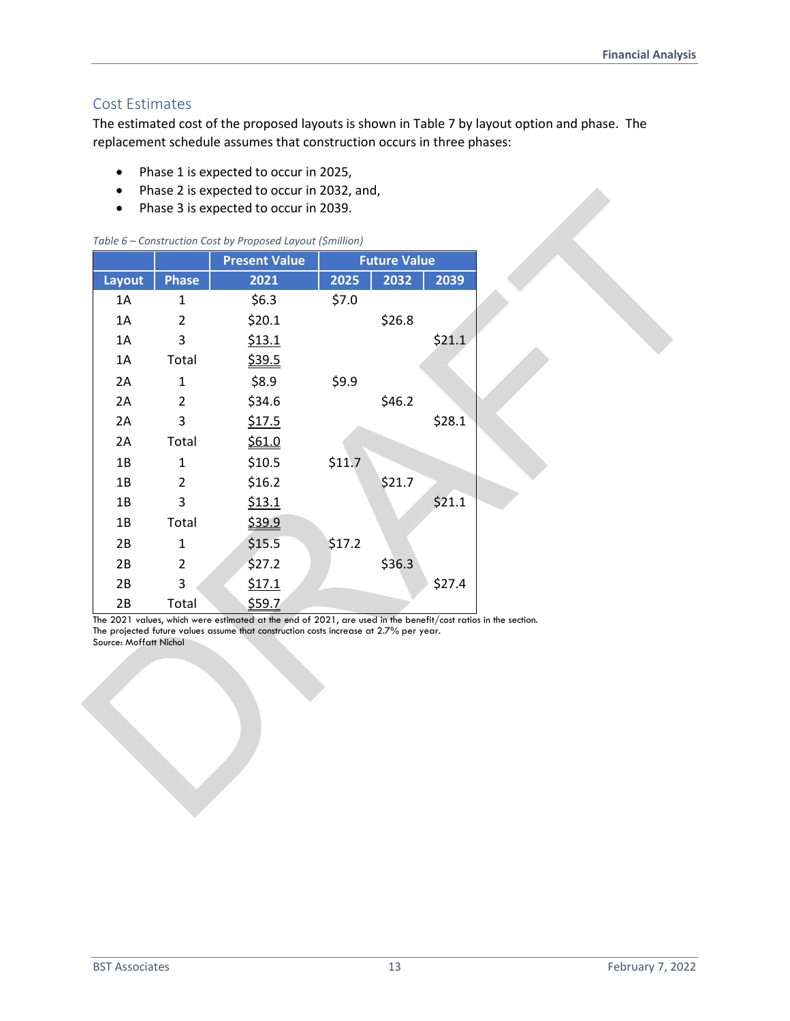## Cost Estimates

The estimated cost of the proposed layouts is shown in Table 7 by layout option and phase. The replacement schedule assumes that construction occurs in three phases:

- Phase 1 is expected to occur in 2025,
- Phase 2 is expected to occur in 2032, and,
- Phase 3 is expected to occur in 2039.

|  | Table 6 - Construction Cost by Proposed Layout (\$million) |  |  |  |
|--|------------------------------------------------------------|--|--|--|
|  |                                                            |  |  |  |

| Layout |                | <b>Present Value</b> |        | <b>Future Value</b> |        |
|--------|----------------|----------------------|--------|---------------------|--------|
|        | <b>Phase</b>   | 2021                 | 2025   | 2032                | 2039   |
| 1A     | $\mathbf{1}$   | \$6.3                | \$7.0  |                     |        |
| 1A     | $\overline{2}$ | \$20.1               |        | \$26.8              |        |
| 1A     | 3              | \$13.1               |        |                     | \$21.1 |
| 1A     | Total          | \$39.5               |        |                     |        |
| 2A     | $\mathbf 1$    | \$8.9                | \$9.9  |                     |        |
| 2A     | $\overline{2}$ | \$34.6               |        | \$46.2              |        |
| 2A     | $\overline{3}$ | \$17.5               |        |                     | \$28.1 |
| 2A     | Total          | \$61.0               |        |                     |        |
| 1B     | $\mathbf 1$    | \$10.5               | \$11.7 |                     |        |
| 1B     | $\overline{2}$ | \$16.2               |        | \$21.7              |        |
| 1B     | 3              | \$13.1               |        |                     | \$21.1 |
| 1B     | Total          | \$39.9               |        |                     |        |
| 2B     | $\mathbf 1$    | \$15.5               | \$17.2 |                     |        |
| 2B     | $\overline{2}$ | \$27.2               |        | \$36.3              |        |
| 2B     | 3              | \$17.1               |        |                     | \$27.4 |
| 2B     | Total          | \$59.7               |        |                     |        |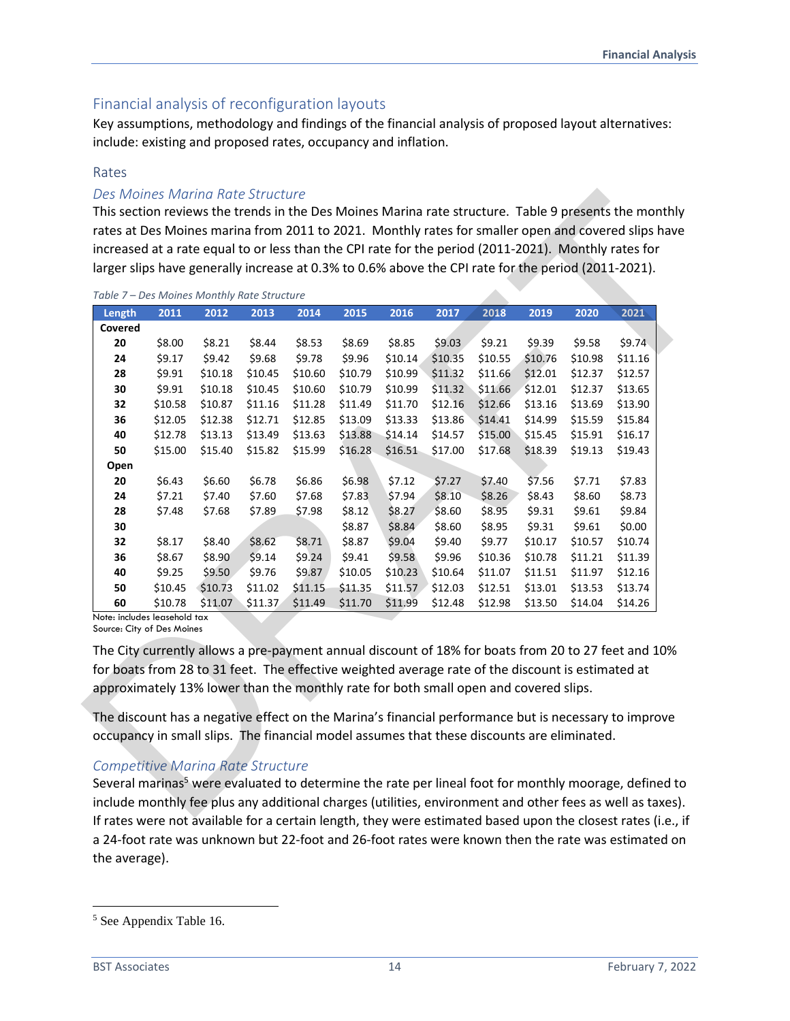## Financial analysis of reconfiguration layouts

Key assumptions, methodology and findings of the financial analysis of proposed layout alternatives: include: existing and proposed rates, occupancy and inflation.

#### Rates

#### *Des Moines Marina Rate Structure*

| 2011<br>2012<br>2013<br>2014<br>2015<br>2016<br>2017<br>2018<br>2019<br>2020<br>2021<br>Length<br>Covered<br>\$8.53<br>\$8.85<br>\$9.03<br>\$9.21<br>\$9.74<br>20<br>\$8.00<br>\$8.21<br>\$8.44<br>\$8.69<br>\$9.39<br>\$9.58<br>\$9.17<br>\$9.42<br>\$9.68<br>\$9.78<br>\$9.96<br>\$10.14<br>\$10.35<br>\$10.55<br>\$10.76<br>\$10.98<br>\$11.16<br>24<br>\$9.91<br>\$10.18<br>\$10.45<br>\$10.60<br>\$10.79<br>\$10.99<br>\$11.32<br>\$12.01<br>\$12.37<br>\$12.57<br>28<br>\$11.66<br>\$10.18<br>\$10.99<br>\$11.32<br>\$12.01<br>\$12.37<br>\$13.65<br>30<br>\$9.91<br>\$10.45<br>\$10.60<br>\$10.79<br>\$11.66<br>\$10.58<br>\$10.87<br>\$11.16<br>\$11.70<br>\$12.16<br>\$13.69<br>\$13.90<br>32<br>\$11.28<br>\$11.49<br>\$12.66<br>\$13.16<br>\$12.38<br>\$13.33<br>\$14.99<br>\$15.59<br>36<br>\$12.05<br>\$12.71<br>\$12.85<br>\$13.09<br>\$13.86<br>\$14.41<br>\$15.84<br>\$15.91<br>\$12.78<br>\$13.13<br>\$13.49<br>\$13.63<br>\$13.88<br>\$14.14<br>\$14.57<br>\$15.00<br>\$15.45<br>\$16.17<br>40<br>\$15.40<br>\$15.82<br>\$16.51<br>\$19.13<br>\$19.43<br>50<br>\$15.00<br>\$15.99<br>\$16.28<br>\$17.00<br>\$17.68<br>\$18.39<br>\$6.60<br>\$6.98<br>\$7.12<br>20<br>\$6.43<br>\$6.78<br>\$6.86<br>\$7.27<br>\$7.40<br>\$7.56<br>\$7.71<br>\$7.83<br>\$7.40<br>\$8.60<br>24<br>\$7.21<br>\$7.60<br>\$7.68<br>\$7.83<br>\$7.94<br>\$8.10<br>\$8.26<br>\$8.43<br>\$8.73<br>\$7.48<br>\$7.68<br>\$8.12<br>\$8.27<br>\$8.60<br>\$8.95<br>\$9.31<br>\$9.61<br>\$9.84<br>28<br>\$7.89<br>\$7.98<br>\$8.84<br>\$8.60<br>\$8.95<br>\$9.31<br>\$9.61<br>\$0.00<br>30<br>\$8.87<br>32<br>\$8.17<br>\$8.40<br>\$8.62<br>\$8.71<br>\$8.87<br>\$9.04<br>\$9.40<br>\$9.77<br>\$10.17<br>\$10.57<br>\$10.74<br>\$8.90<br>\$9.14<br>\$9.41<br>\$9.58<br>\$11.21<br>\$11.39<br>36<br>\$8.67<br>\$9.24<br>\$9.96<br>\$10.36<br>\$10.78<br>\$9.25<br>\$9.50<br>\$9.76<br>\$9.87<br>\$10.05<br>\$10.23<br>\$10.64<br>\$11.07<br>\$11.97<br>40<br>\$11.51<br>50<br>\$10.45<br>\$10.73<br>\$11.02<br>\$11.15<br>\$11.35<br>\$11.57<br>\$12.03<br>\$12.51<br>\$13.01<br>\$13.53<br>\$11.07<br>\$13.50<br>\$14.04<br>60<br>\$10.78<br>\$11.37<br>\$11.49<br>\$11.70<br>\$11.99<br>\$12.48<br>\$12.98 |  |  |  |  |  |         |
|------------------------------------------------------------------------------------------------------------------------------------------------------------------------------------------------------------------------------------------------------------------------------------------------------------------------------------------------------------------------------------------------------------------------------------------------------------------------------------------------------------------------------------------------------------------------------------------------------------------------------------------------------------------------------------------------------------------------------------------------------------------------------------------------------------------------------------------------------------------------------------------------------------------------------------------------------------------------------------------------------------------------------------------------------------------------------------------------------------------------------------------------------------------------------------------------------------------------------------------------------------------------------------------------------------------------------------------------------------------------------------------------------------------------------------------------------------------------------------------------------------------------------------------------------------------------------------------------------------------------------------------------------------------------------------------------------------------------------------------------------------------------------------------------------------------------------------------------------------------------------------------------------------------------------------------------------------------------------------------------------------------------------------------------------------------------------------------------------------------------------------------------------------------------------------------------|--|--|--|--|--|---------|
| Open                                                                                                                                                                                                                                                                                                                                                                                                                                                                                                                                                                                                                                                                                                                                                                                                                                                                                                                                                                                                                                                                                                                                                                                                                                                                                                                                                                                                                                                                                                                                                                                                                                                                                                                                                                                                                                                                                                                                                                                                                                                                                                                                                                                           |  |  |  |  |  |         |
|                                                                                                                                                                                                                                                                                                                                                                                                                                                                                                                                                                                                                                                                                                                                                                                                                                                                                                                                                                                                                                                                                                                                                                                                                                                                                                                                                                                                                                                                                                                                                                                                                                                                                                                                                                                                                                                                                                                                                                                                                                                                                                                                                                                                |  |  |  |  |  |         |
|                                                                                                                                                                                                                                                                                                                                                                                                                                                                                                                                                                                                                                                                                                                                                                                                                                                                                                                                                                                                                                                                                                                                                                                                                                                                                                                                                                                                                                                                                                                                                                                                                                                                                                                                                                                                                                                                                                                                                                                                                                                                                                                                                                                                |  |  |  |  |  |         |
|                                                                                                                                                                                                                                                                                                                                                                                                                                                                                                                                                                                                                                                                                                                                                                                                                                                                                                                                                                                                                                                                                                                                                                                                                                                                                                                                                                                                                                                                                                                                                                                                                                                                                                                                                                                                                                                                                                                                                                                                                                                                                                                                                                                                |  |  |  |  |  |         |
|                                                                                                                                                                                                                                                                                                                                                                                                                                                                                                                                                                                                                                                                                                                                                                                                                                                                                                                                                                                                                                                                                                                                                                                                                                                                                                                                                                                                                                                                                                                                                                                                                                                                                                                                                                                                                                                                                                                                                                                                                                                                                                                                                                                                |  |  |  |  |  |         |
|                                                                                                                                                                                                                                                                                                                                                                                                                                                                                                                                                                                                                                                                                                                                                                                                                                                                                                                                                                                                                                                                                                                                                                                                                                                                                                                                                                                                                                                                                                                                                                                                                                                                                                                                                                                                                                                                                                                                                                                                                                                                                                                                                                                                |  |  |  |  |  |         |
|                                                                                                                                                                                                                                                                                                                                                                                                                                                                                                                                                                                                                                                                                                                                                                                                                                                                                                                                                                                                                                                                                                                                                                                                                                                                                                                                                                                                                                                                                                                                                                                                                                                                                                                                                                                                                                                                                                                                                                                                                                                                                                                                                                                                |  |  |  |  |  |         |
|                                                                                                                                                                                                                                                                                                                                                                                                                                                                                                                                                                                                                                                                                                                                                                                                                                                                                                                                                                                                                                                                                                                                                                                                                                                                                                                                                                                                                                                                                                                                                                                                                                                                                                                                                                                                                                                                                                                                                                                                                                                                                                                                                                                                |  |  |  |  |  |         |
|                                                                                                                                                                                                                                                                                                                                                                                                                                                                                                                                                                                                                                                                                                                                                                                                                                                                                                                                                                                                                                                                                                                                                                                                                                                                                                                                                                                                                                                                                                                                                                                                                                                                                                                                                                                                                                                                                                                                                                                                                                                                                                                                                                                                |  |  |  |  |  |         |
|                                                                                                                                                                                                                                                                                                                                                                                                                                                                                                                                                                                                                                                                                                                                                                                                                                                                                                                                                                                                                                                                                                                                                                                                                                                                                                                                                                                                                                                                                                                                                                                                                                                                                                                                                                                                                                                                                                                                                                                                                                                                                                                                                                                                |  |  |  |  |  |         |
|                                                                                                                                                                                                                                                                                                                                                                                                                                                                                                                                                                                                                                                                                                                                                                                                                                                                                                                                                                                                                                                                                                                                                                                                                                                                                                                                                                                                                                                                                                                                                                                                                                                                                                                                                                                                                                                                                                                                                                                                                                                                                                                                                                                                |  |  |  |  |  |         |
| Note: includes leasehold tax                                                                                                                                                                                                                                                                                                                                                                                                                                                                                                                                                                                                                                                                                                                                                                                                                                                                                                                                                                                                                                                                                                                                                                                                                                                                                                                                                                                                                                                                                                                                                                                                                                                                                                                                                                                                                                                                                                                                                                                                                                                                                                                                                                   |  |  |  |  |  |         |
|                                                                                                                                                                                                                                                                                                                                                                                                                                                                                                                                                                                                                                                                                                                                                                                                                                                                                                                                                                                                                                                                                                                                                                                                                                                                                                                                                                                                                                                                                                                                                                                                                                                                                                                                                                                                                                                                                                                                                                                                                                                                                                                                                                                                |  |  |  |  |  |         |
|                                                                                                                                                                                                                                                                                                                                                                                                                                                                                                                                                                                                                                                                                                                                                                                                                                                                                                                                                                                                                                                                                                                                                                                                                                                                                                                                                                                                                                                                                                                                                                                                                                                                                                                                                                                                                                                                                                                                                                                                                                                                                                                                                                                                |  |  |  |  |  |         |
|                                                                                                                                                                                                                                                                                                                                                                                                                                                                                                                                                                                                                                                                                                                                                                                                                                                                                                                                                                                                                                                                                                                                                                                                                                                                                                                                                                                                                                                                                                                                                                                                                                                                                                                                                                                                                                                                                                                                                                                                                                                                                                                                                                                                |  |  |  |  |  |         |
|                                                                                                                                                                                                                                                                                                                                                                                                                                                                                                                                                                                                                                                                                                                                                                                                                                                                                                                                                                                                                                                                                                                                                                                                                                                                                                                                                                                                                                                                                                                                                                                                                                                                                                                                                                                                                                                                                                                                                                                                                                                                                                                                                                                                |  |  |  |  |  |         |
|                                                                                                                                                                                                                                                                                                                                                                                                                                                                                                                                                                                                                                                                                                                                                                                                                                                                                                                                                                                                                                                                                                                                                                                                                                                                                                                                                                                                                                                                                                                                                                                                                                                                                                                                                                                                                                                                                                                                                                                                                                                                                                                                                                                                |  |  |  |  |  | \$12.16 |
|                                                                                                                                                                                                                                                                                                                                                                                                                                                                                                                                                                                                                                                                                                                                                                                                                                                                                                                                                                                                                                                                                                                                                                                                                                                                                                                                                                                                                                                                                                                                                                                                                                                                                                                                                                                                                                                                                                                                                                                                                                                                                                                                                                                                |  |  |  |  |  | \$13.74 |
|                                                                                                                                                                                                                                                                                                                                                                                                                                                                                                                                                                                                                                                                                                                                                                                                                                                                                                                                                                                                                                                                                                                                                                                                                                                                                                                                                                                                                                                                                                                                                                                                                                                                                                                                                                                                                                                                                                                                                                                                                                                                                                                                                                                                |  |  |  |  |  | \$14.26 |
| Source: City of Des Moines<br>The City currently allows a pre-payment annual discount of 18% for boats from 20 to 27 feet and 10%                                                                                                                                                                                                                                                                                                                                                                                                                                                                                                                                                                                                                                                                                                                                                                                                                                                                                                                                                                                                                                                                                                                                                                                                                                                                                                                                                                                                                                                                                                                                                                                                                                                                                                                                                                                                                                                                                                                                                                                                                                                              |  |  |  |  |  |         |

## *Competitive Marina Rate Structure*

Several marinas<sup>5</sup> were evaluated to determine the rate per lineal foot for monthly moorage, defined to include monthly fee plus any additional charges (utilities, environment and other fees as well as taxes). If rates were not available for a certain length, they were estimated based upon the closest rates (i.e., if a 24-foot rate was unknown but 22-foot and 26-foot rates were known then the rate was estimated on the average).

<sup>5</sup> See Appendix Table 16.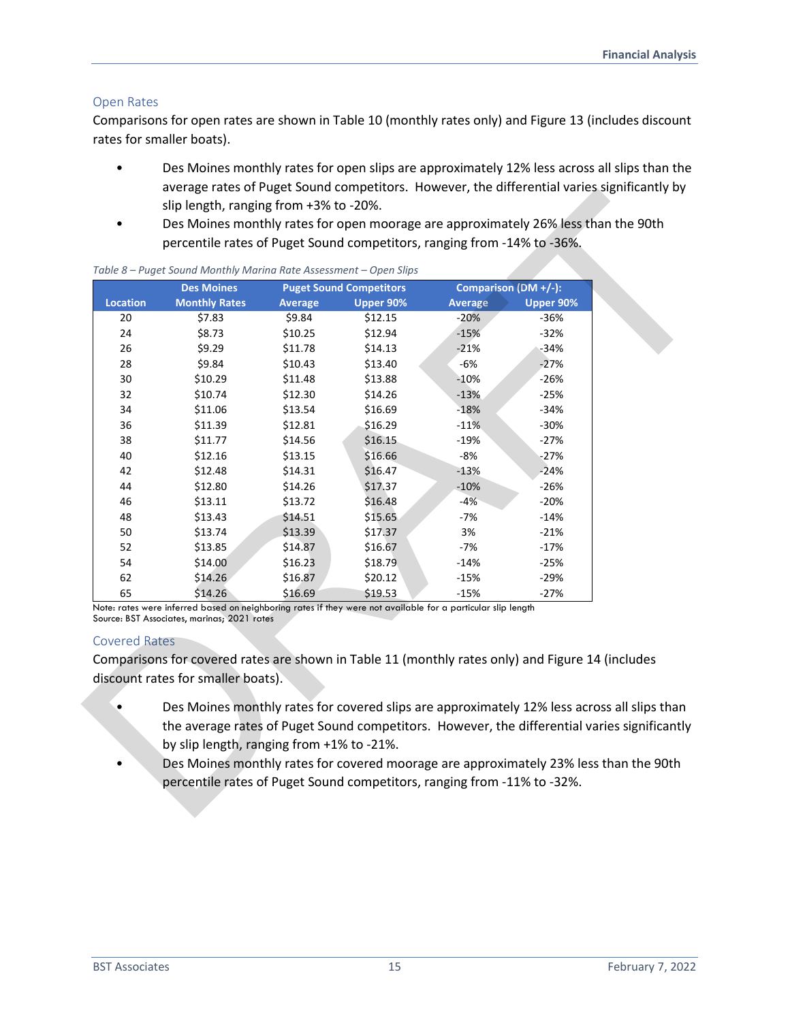#### Open Rates

Comparisons for open rates are shown in Table 10 (monthly rates only) and Figure 13 (includes discount rates for smaller boats).

- Des Moines monthly rates for open slips are approximately 12% less across all slips than the average rates of Puget Sound competitors. However, the differential varies significantly by slip length, ranging from +3% to -20%.
- Des Moines monthly rates for open moorage are approximately 26% less than the 90th percentile rates of Puget Sound competitors, ranging from -14% to -36%.

|                                                                     | <b>Des Moines</b>    |                                           | <b>Puget Sound Competitors</b>                                                                               |                | Comparison (DM +/-): |
|---------------------------------------------------------------------|----------------------|-------------------------------------------|--------------------------------------------------------------------------------------------------------------|----------------|----------------------|
| <b>Location</b>                                                     | <b>Monthly Rates</b> | <b>Average</b>                            | Upper 90%                                                                                                    | <b>Average</b> | Upper 90%            |
| 20                                                                  | \$7.83               | \$9.84                                    | \$12.15                                                                                                      | $-20%$         | $-36%$               |
| 24                                                                  | \$8.73               | \$10.25                                   | \$12.94                                                                                                      | $-15%$         | $-32%$               |
| 26                                                                  | \$9.29               | \$11.78                                   | \$14.13                                                                                                      | $-21%$         | $-34%$               |
| 28                                                                  | \$9.84               | \$10.43                                   | \$13.40                                                                                                      | $-6%$          | $-27%$               |
| 30                                                                  | \$10.29              | \$11.48                                   | \$13.88                                                                                                      | $-10%$         | $-26%$               |
| 32                                                                  | \$10.74              | \$12.30                                   | \$14.26                                                                                                      | $-13%$         | $-25%$               |
| 34                                                                  | \$11.06              | \$13.54                                   | \$16.69                                                                                                      | $-18%$         | $-34%$               |
| 36                                                                  | \$11.39              | \$12.81                                   | \$16.29                                                                                                      | $-11%$         | $-30%$               |
| 38                                                                  | \$11.77              | \$14.56                                   | \$16.15                                                                                                      | $-19%$         | $-27%$               |
| 40                                                                  | \$12.16              | \$13.15                                   | \$16.66                                                                                                      | $-8%$          | $-27%$               |
| 42                                                                  | \$12.48              | \$14.31                                   | \$16.47                                                                                                      | $-13%$         | $-24%$               |
| 44                                                                  | \$12.80              | \$14.26                                   | \$17.37                                                                                                      | $-10%$         | $-26%$               |
| 46                                                                  | \$13.11              | \$13.72                                   | \$16.48                                                                                                      | $-4%$          | $-20%$               |
| 48                                                                  | \$13.43              | \$14.51                                   | \$15.65                                                                                                      | -7%            | $-14%$               |
| 50                                                                  | \$13.74              | \$13.39                                   | \$17.37                                                                                                      | 3%             | $-21%$               |
| 52                                                                  | \$13.85              | \$14.87                                   | \$16.67                                                                                                      | $-7%$          | $-17%$               |
| 54                                                                  | \$14.00              | \$16.23                                   | \$18.79                                                                                                      | $-14%$         | $-25%$               |
| 62                                                                  | \$14.26              | \$16.87                                   | \$20.12                                                                                                      | $-15%$         | $-29%$               |
| 65                                                                  | \$14.26              | \$16.69                                   | \$19.53                                                                                                      | $-15%$         | $-27%$               |
| Source: BST Associates, marinas; 2021 rates<br><b>Covered Rates</b> |                      |                                           | Note: rates were inferred based on neighboring rates if they were not available for a particular slip length |                |                      |
|                                                                     |                      |                                           | Comparisons for covered rates are shown in Table 11 (monthly rates only) and Figure 14 (includes             |                |                      |
| discount rates for smaller boats).                                  |                      |                                           |                                                                                                              |                |                      |
|                                                                     |                      |                                           |                                                                                                              |                |                      |
|                                                                     |                      |                                           | Des Moines monthly rates for covered slips are approximately 12% less across all slips than                  |                |                      |
|                                                                     |                      |                                           | the average rates of Puget Sound competitors. However, the differential varies significantly                 |                |                      |
|                                                                     |                      | by slip length, ranging from +1% to -21%. |                                                                                                              |                |                      |

#### *Table 8 – Puget Sound Monthly Marina Rate Assessment – Open Slips*

#### Covered Rates

- Des Moines monthly rates for covered slips are approximately 12% less across all slips than the average rates of Puget Sound competitors. However, the differential varies significantly by slip length, ranging from +1% to -21%.
- Des Moines monthly rates for covered moorage are approximately 23% less than the 90th percentile rates of Puget Sound competitors, ranging from -11% to -32%.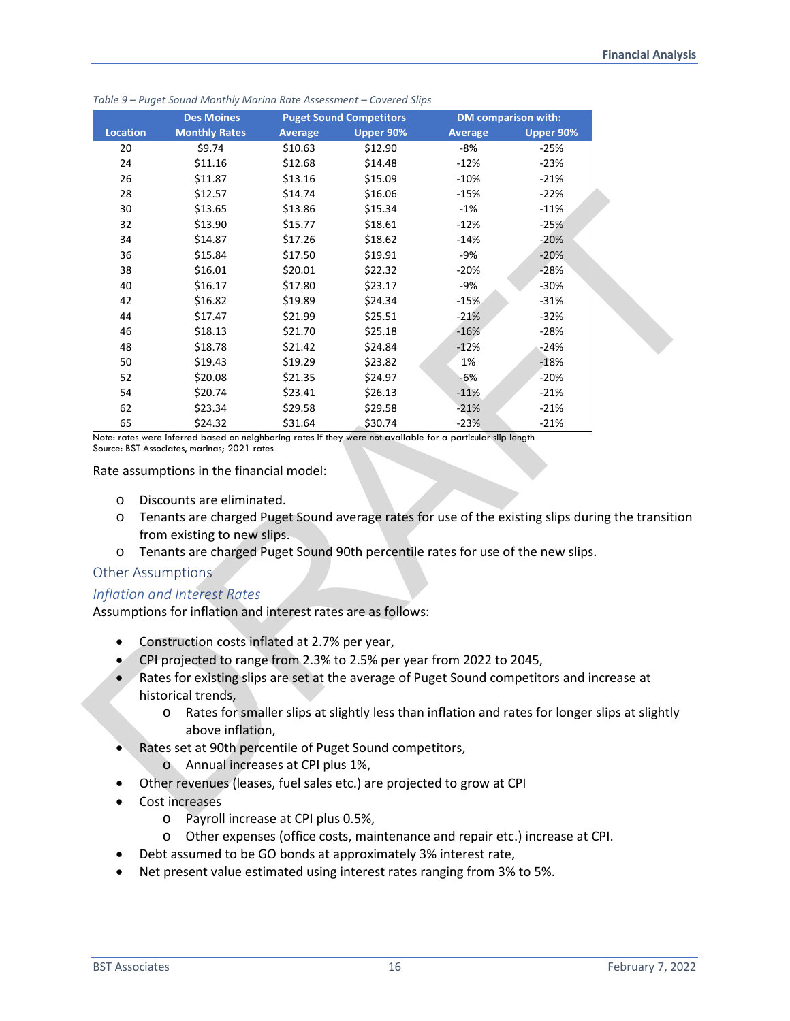|                                         | <b>Des Moines</b>                                                                                                                                                                                                                                                                                                              |                | <b>Puget Sound Competitors</b>                                                                 |                | <b>DM</b> comparison with: |
|-----------------------------------------|--------------------------------------------------------------------------------------------------------------------------------------------------------------------------------------------------------------------------------------------------------------------------------------------------------------------------------|----------------|------------------------------------------------------------------------------------------------|----------------|----------------------------|
| <b>Location</b>                         | <b>Monthly Rates</b>                                                                                                                                                                                                                                                                                                           | <b>Average</b> | Upper 90%                                                                                      | <b>Average</b> | Upper 90%                  |
| 20                                      | \$9.74                                                                                                                                                                                                                                                                                                                         | \$10.63        | \$12.90                                                                                        | $-8%$          | $-25%$                     |
| 24                                      | \$11.16                                                                                                                                                                                                                                                                                                                        | \$12.68        | \$14.48                                                                                        | $-12%$         | $-23%$                     |
| 26                                      | \$11.87                                                                                                                                                                                                                                                                                                                        | \$13.16        | \$15.09                                                                                        | $-10%$         | $-21%$                     |
| 28                                      | \$12.57                                                                                                                                                                                                                                                                                                                        | \$14.74        | \$16.06                                                                                        | $-15%$         | $-22%$                     |
| 30                                      | \$13.65                                                                                                                                                                                                                                                                                                                        | \$13.86        | \$15.34                                                                                        | $-1%$          | $-11%$                     |
| 32                                      | \$13.90                                                                                                                                                                                                                                                                                                                        | \$15.77        | \$18.61                                                                                        | $-12%$         | $-25%$                     |
| 34                                      | \$14.87                                                                                                                                                                                                                                                                                                                        | \$17.26        | \$18.62                                                                                        | $-14%$         | $-20%$                     |
| 36                                      | \$15.84                                                                                                                                                                                                                                                                                                                        | \$17.50        | \$19.91                                                                                        | -9%            | $-20%$                     |
| 38                                      | \$16.01                                                                                                                                                                                                                                                                                                                        | \$20.01        | \$22.32                                                                                        | $-20%$         | $-28%$                     |
| 40                                      | \$16.17                                                                                                                                                                                                                                                                                                                        | \$17.80        | \$23.17                                                                                        | -9%            | $-30%$                     |
| 42                                      | \$16.82                                                                                                                                                                                                                                                                                                                        | \$19.89        | \$24.34                                                                                        | $-15%$         | $-31%$                     |
| 44                                      | \$17.47                                                                                                                                                                                                                                                                                                                        | \$21.99        | \$25.51                                                                                        | $-21%$         | $-32%$                     |
| 46                                      | \$18.13                                                                                                                                                                                                                                                                                                                        | \$21.70        | \$25.18                                                                                        | $-16%$         | $-28%$                     |
| 48                                      | \$18.78                                                                                                                                                                                                                                                                                                                        | \$21.42        | \$24.84                                                                                        | $-12%$         | $-24%$                     |
| 50                                      | \$19.43                                                                                                                                                                                                                                                                                                                        | \$19.29        | \$23.82                                                                                        | 1%             | $-18%$                     |
| 52                                      | \$20.08                                                                                                                                                                                                                                                                                                                        | \$21.35        | \$24.97                                                                                        | -6%            | $-20%$                     |
| 54                                      | \$20.74                                                                                                                                                                                                                                                                                                                        | \$23.41        | \$26.13                                                                                        | $-11%$         | $-21%$                     |
| 62                                      | \$23.34                                                                                                                                                                                                                                                                                                                        | \$29.58        | \$29.58                                                                                        | $-21%$         | $-21%$                     |
| 65                                      | \$24.32<br>Note: rates were inferred based on neighboring rates if they were not available for a particular slip length                                                                                                                                                                                                        | \$31.64        | \$30.74                                                                                        | $-23%$         | $-21%$                     |
| O<br>O<br>O<br><b>Other Assumptions</b> | Discounts are eliminated.<br>Tenants are charged Puget Sound average rates for use of the existing slips during the transition<br>from existing to new slips.<br>Tenants are charged Puget Sound 90th percentile rates for use of the new slips.                                                                               |                |                                                                                                |                |                            |
|                                         | Inflation and Interest Rates                                                                                                                                                                                                                                                                                                   |                |                                                                                                |                |                            |
|                                         | Assumptions for inflation and interest rates are as follows:                                                                                                                                                                                                                                                                   |                |                                                                                                |                |                            |
| ٠<br>$\bullet$<br>$\bullet$             | Construction costs inflated at 2.7% per year,<br>CPI projected to range from 2.3% to 2.5% per year from 2022 to 2045,<br>Rates for existing slips are set at the average of Puget Sound competitors and increase at<br>historical trends,<br>O<br>above inflation,<br>Rates set at 90th percentile of Puget Sound competitors, |                | Rates for smaller slips at slightly less than inflation and rates for longer slips at slightly |                |                            |
|                                         | Annual increases at CPI plus 1%,<br>$\circ$<br>Other revenues (leases, fuel sales etc.) are projected to grow at CPI                                                                                                                                                                                                           |                |                                                                                                |                |                            |
|                                         | Cost increases                                                                                                                                                                                                                                                                                                                 |                |                                                                                                |                |                            |
|                                         | D <sub>2</sub>                                                                                                                                                                                                                                                                                                                 |                |                                                                                                |                |                            |

*Table 9 – Puget Sound Monthly Marina Rate Assessment – Covered Slips* 

#### Rate assumptions in the financial model:

- o Discounts are eliminated.
- o Tenants are charged Puget Sound average rates for use of the existing slips during the transition from existing to new slips.
- o Tenants are charged Puget Sound 90th percentile rates for use of the new slips.

#### Other Assumptions

#### *Inflation and Interest Rates*

- Construction costs inflated at 2.7% per year,
- CPI projected to range from 2.3% to 2.5% per year from 2022 to 2045,
- Rates for existing slips are set at the average of Puget Sound competitors and increase at historical trends,
	- o Rates for smaller slips at slightly less than inflation and rates for longer slips at slightly above inflation,
- Rates set at 90th percentile of Puget Sound competitors,
	- o Annual increases at CPI plus 1%,
- Other revenues (leases, fuel sales etc.) are projected to grow at CPI
- Cost increases
	- o Payroll increase at CPI plus 0.5%,
	- o Other expenses (office costs, maintenance and repair etc.) increase at CPI.
- Debt assumed to be GO bonds at approximately 3% interest rate,
- Net present value estimated using interest rates ranging from 3% to 5%.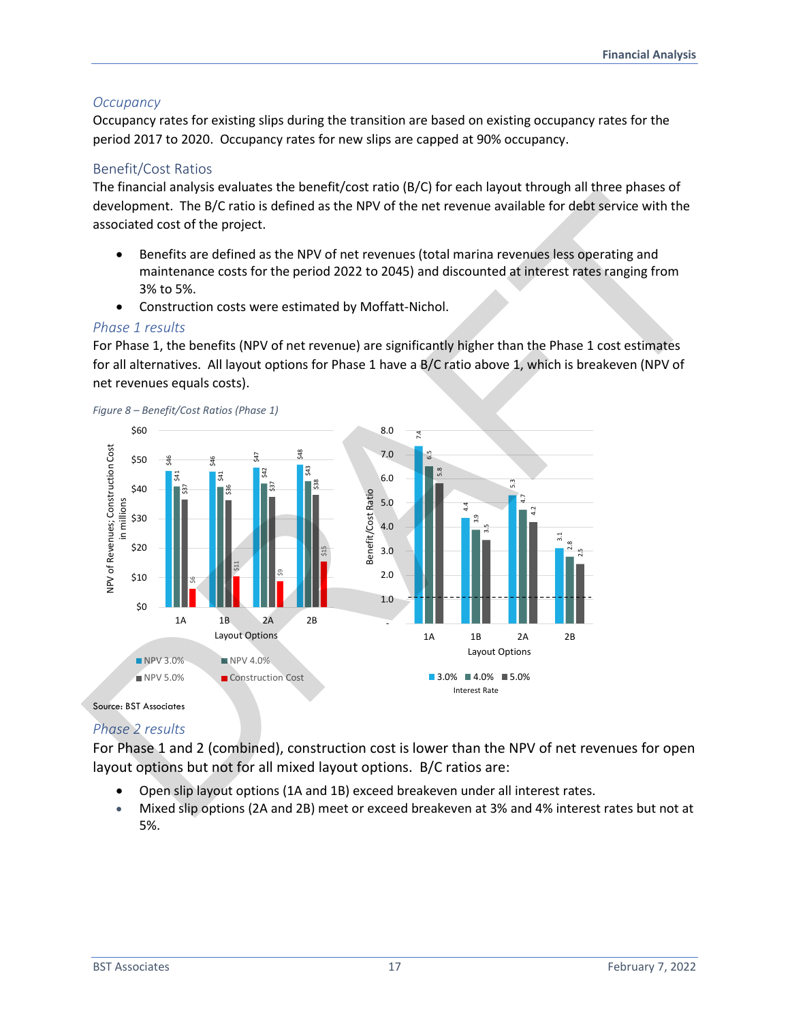## *Occupancy*

Occupancy rates for existing slips during the transition are based on existing occupancy rates for the period 2017 to 2020. Occupancy rates for new slips are capped at 90% occupancy.

#### Benefit/Cost Ratios

The financial analysis evaluates the benefit/cost ratio (B/C) for each layout through all three phases of development. The B/C ratio is defined as the NPV of the net revenue available for debt service with the associated cost of the project.

- Benefits are defined as the NPV of net revenues (total marina revenues less operating and maintenance costs for the period 2022 to 2045) and discounted at interest rates ranging from 3% to 5%.
- Construction costs were estimated by Moffatt-Nichol.

#### *Phase 1 results*

For Phase 1, the benefits (NPV of net revenue) are significantly higher than the Phase 1 cost estimates for all alternatives. All layout options for Phase 1 have a B/C ratio above 1, which is breakeven (NPV of net revenues equals costs).



Source: BST Associates

## *Phase 2 results*

For Phase 1 and 2 (combined), construction cost is lower than the NPV of net revenues for open layout options but not for all mixed layout options. B/C ratios are:

- Open slip layout options (1A and 1B) exceed breakeven under all interest rates.
- Mixed slip options (2A and 2B) meet or exceed breakeven at 3% and 4% interest rates but not at 5%.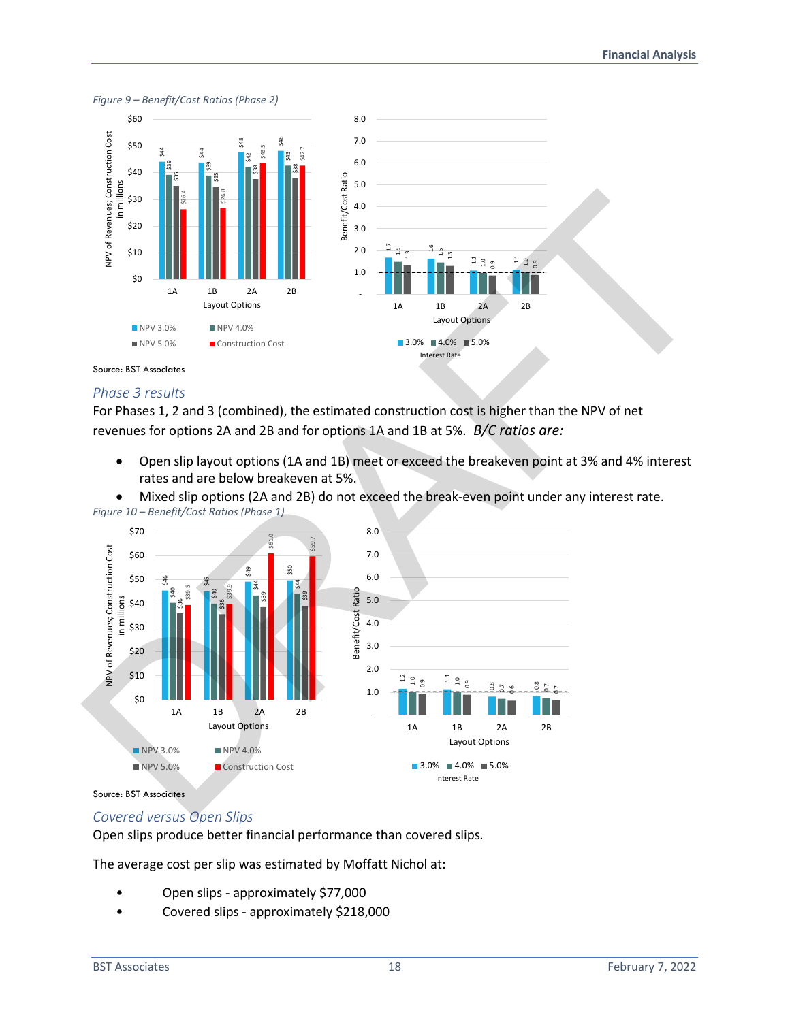

#### *Figure 9 – Benefit/Cost Ratios (Phase 2)*



#### *Phase 3 results*

For Phases 1, 2 and 3 (combined), the estimated construction cost is higher than the NPV of net revenues for options 2A and 2B and for options 1A and 1B at 5%. *B/C ratios are:*

- Open slip layout options (1A and 1B) meet or exceed the breakeven point at 3% and 4% interest rates and are below breakeven at 5%.
- Mixed slip options (2A and 2B) do not exceed the break-even point under any interest rate.



## *Covered versus Open Slips*

Open slips produce better financial performance than covered slips*.* 

The average cost per slip was estimated by Moffatt Nichol at:

- Open slips approximately \$77,000
-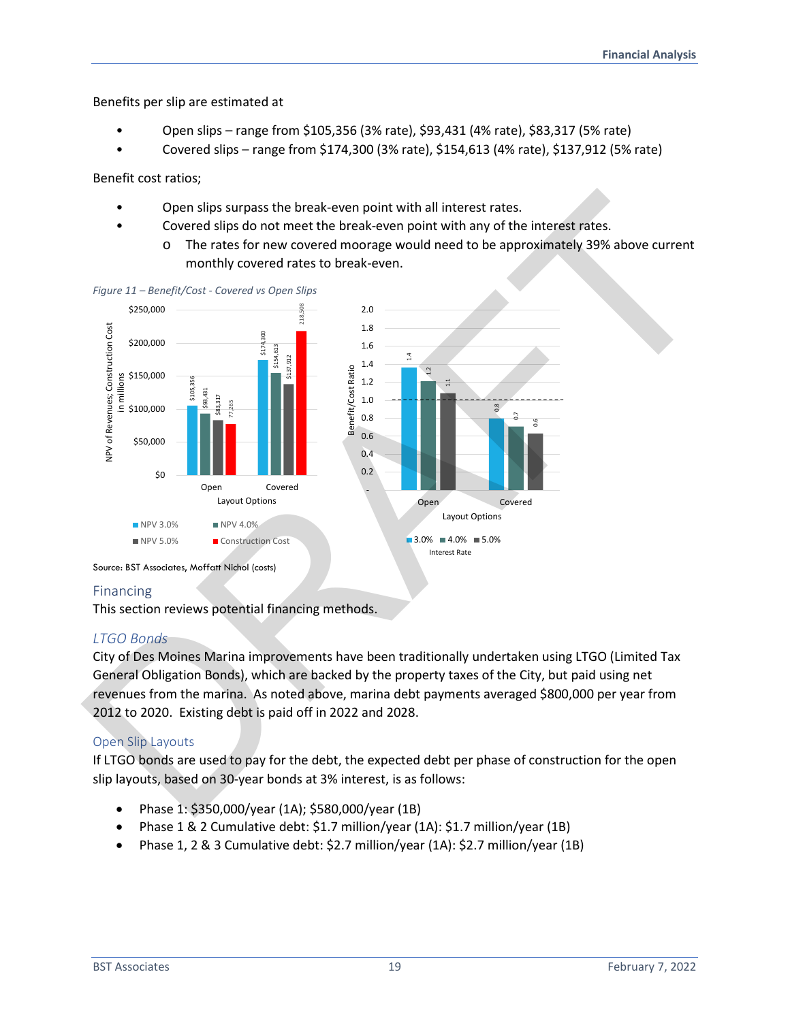Benefits per slip are estimated at

- Open slips range from \$105,356 (3% rate), \$93,431 (4% rate), \$83,317 (5% rate)
- Covered slips range from \$174,300 (3% rate), \$154,613 (4% rate), \$137,912 (5% rate)

Benefit cost ratios;

- Open slips surpass the break-even point with all interest rates.
- Covered slips do not meet the break-even point with any of the interest rates.
	- o The rates for new covered moorage would need to be approximately 39% above current monthly covered rates to break-even.



#### *Figure 11 – Benefit/Cost - Covered vs Open Slips*

#### Financing

This section reviews potential financing methods.

#### *LTGO Bonds*

City of Des Moines Marina improvements have been traditionally undertaken using LTGO (Limited Tax General Obligation Bonds), which are backed by the property taxes of the City, but paid using net revenues from the marina. As noted above, marina debt payments averaged \$800,000 per year from 2012 to 2020. Existing debt is paid off in 2022 and 2028.

#### Open Slip Layouts

If LTGO bonds are used to pay for the debt, the expected debt per phase of construction for the open slip layouts, based on 30-year bonds at 3% interest, is as follows:

- Phase 1: \$350,000/year (1A); \$580,000/year (1B)
- Phase 1 & 2 Cumulative debt: \$1.7 million/year (1A): \$1.7 million/year (1B)
-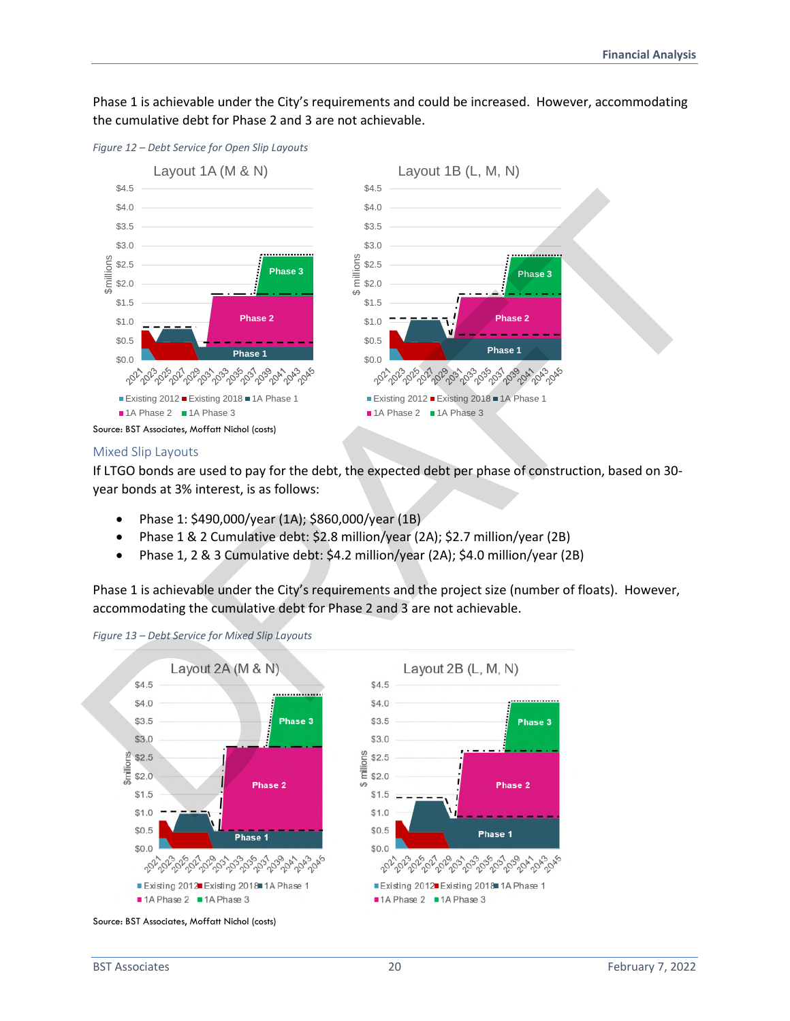Phase 1 is achievable under the City's requirements and could be increased. However, accommodating the cumulative debt for Phase 2 and 3 are not achievable.



Mixed Slip Layouts

If LTGO bonds are used to pay for the debt, the expected debt per phase of construction, based on 30 year bonds at 3% interest, is as follows:

- Phase 1: \$490,000/year (1A); \$860,000/year (1B)
- Phase 1 & 2 Cumulative debt: \$2.8 million/year (2A); \$2.7 million/year (2B)
- Phase 1, 2 & 3 Cumulative debt: \$4.2 million/year (2A); \$4.0 million/year (2B)

Phase 1 is achievable under the City's requirements and the project size (number of floats). However, accommodating the cumulative debt for Phase 2 and 3 are not achievable.



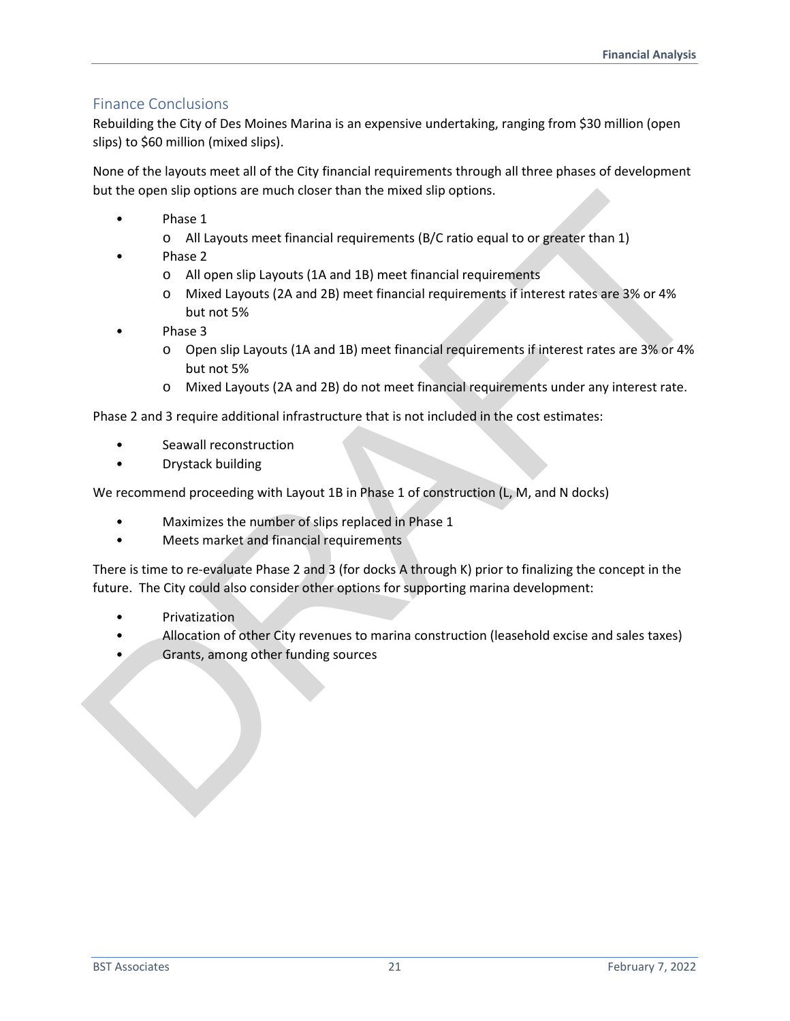## Finance Conclusions

Rebuilding the City of Des Moines Marina is an expensive undertaking, ranging from \$30 million (open slips) to \$60 million (mixed slips).

None of the layouts meet all of the City financial requirements through all three phases of development but the open slip options are much closer than the mixed slip options.

- Phase 1
	- o All Layouts meet financial requirements (B/C ratio equal to or greater than 1)
- Phase 2
	- o All open slip Layouts (1A and 1B) meet financial requirements
	- o Mixed Layouts (2A and 2B) meet financial requirements if interest rates are 3% or 4% but not 5%
- Phase 3
	- o Open slip Layouts (1A and 1B) meet financial requirements if interest rates are 3% or 4% but not 5%
	- o Mixed Layouts (2A and 2B) do not meet financial requirements under any interest rate.

Phase 2 and 3 require additional infrastructure that is not included in the cost estimates:

- Seawall reconstruction
- Drystack building

We recommend proceeding with Layout 1B in Phase 1 of construction (L, M, and N docks)

- Maximizes the number of slips replaced in Phase 1
- Meets market and financial requirements

There is time to re-evaluate Phase 2 and 3 (for docks A through K) prior to finalizing the concept in the future. The City could also consider other options for supporting marina development: out the open sinp options are mucricized than the mixed sinp options.<br>
Thus a DRAFT of Markouts meet financial requirements (B/C ratio equal to or greater than 1)<br>
Phose 2<br>
o All open slip Layouts (1A and 1B) meet financi

- **Privatization**
- Allocation of other City revenues to marina construction (leasehold excise and sales taxes)
- Grants, among other funding sources